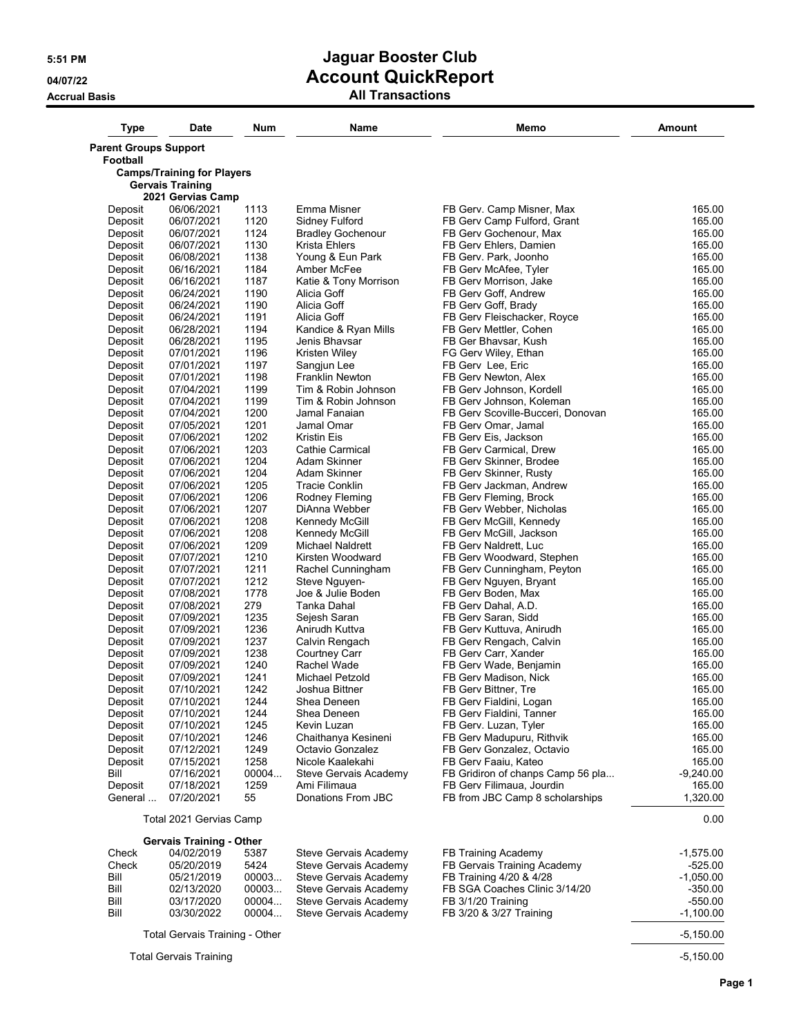| <b>Type</b>                              | <b>Date</b>                                                  | <b>Num</b>   | Name                            | Memo                                               | <b>Amount</b>    |
|------------------------------------------|--------------------------------------------------------------|--------------|---------------------------------|----------------------------------------------------|------------------|
| <b>Parent Groups Support</b><br>Football |                                                              |              |                                 |                                                    |                  |
|                                          | <b>Camps/Training for Players</b><br><b>Gervais Training</b> |              |                                 |                                                    |                  |
|                                          | 2021 Gervias Camp                                            |              |                                 |                                                    |                  |
| Deposit                                  | 06/06/2021                                                   | 1113         | Emma Misner                     | FB Gerv. Camp Misner, Max                          | 165.00           |
| Deposit                                  | 06/07/2021                                                   | 1120         | Sidney Fulford                  | FB Gerv Camp Fulford, Grant                        | 165.00           |
| Deposit                                  | 06/07/2021                                                   | 1124         | <b>Bradley Gochenour</b>        | FB Gerv Gochenour, Max                             | 165.00           |
| Deposit                                  | 06/07/2021                                                   | 1130         | Krista Ehlers                   | FB Gerv Ehlers, Damien                             | 165.00           |
| Deposit                                  | 06/08/2021                                                   | 1138         | Young & Eun Park                | FB Gerv. Park, Joonho                              | 165.00           |
| Deposit                                  | 06/16/2021                                                   | 1184         | Amber McFee                     | FB Gerv McAfee, Tyler                              | 165.00           |
| Deposit                                  | 06/16/2021                                                   | 1187         | Katie & Tony Morrison           | FB Gerv Morrison, Jake                             | 165.00           |
| Deposit                                  | 06/24/2021                                                   | 1190         | Alicia Goff                     | FB Gerv Goff, Andrew                               | 165.00           |
| Deposit                                  | 06/24/2021                                                   | 1190         | Alicia Goff                     | FB Gerv Goff, Brady                                | 165.00           |
| Deposit                                  | 06/24/2021                                                   | 1191         | Alicia Goff                     | FB Gerv Fleischacker, Royce                        | 165.00           |
| Deposit                                  | 06/28/2021                                                   | 1194         | Kandice & Ryan Mills            | FB Gerv Mettler, Cohen                             | 165.00           |
| Deposit                                  | 06/28/2021                                                   | 1195         | Jenis Bhavsar                   | FB Ger Bhavsar, Kush                               | 165.00           |
| Deposit                                  | 07/01/2021                                                   | 1196         | Kristen Wiley                   | FG Gerv Wiley, Ethan                               | 165.00           |
| Deposit                                  | 07/01/2021                                                   | 1197         | Sangjun Lee                     | FB Gerv Lee, Eric                                  | 165.00           |
| Deposit                                  | 07/01/2021                                                   | 1198         | <b>Franklin Newton</b>          | FB Gerv Newton, Alex                               | 165.00           |
| Deposit                                  | 07/04/2021                                                   | 1199         | Tim & Robin Johnson             | FB Gerv Johnson, Kordell                           | 165.00           |
| Deposit                                  | 07/04/2021                                                   | 1199         | Tim & Robin Johnson             | FB Gerv Johnson, Koleman                           | 165.00           |
| Deposit                                  | 07/04/2021                                                   | 1200         | Jamal Fanaian                   | FB Gerv Scoville-Bucceri, Donovan                  | 165.00           |
| Deposit                                  | 07/05/2021                                                   | 1201         | Jamal Omar                      | FB Gerv Omar, Jamal                                | 165.00           |
| Deposit                                  | 07/06/2021                                                   | 1202         | <b>Kristin Eis</b>              | FB Gerv Eis, Jackson                               | 165.00           |
| Deposit                                  | 07/06/2021                                                   | 1203         | Cathie Carmical                 | FB Gerv Carmical, Drew                             | 165.00           |
| Deposit                                  | 07/06/2021                                                   | 1204         | Adam Skinner                    | FB Gerv Skinner, Brodee                            | 165.00           |
| Deposit                                  | 07/06/2021<br>07/06/2021                                     | 1204<br>1205 | Adam Skinner                    | FB Gerv Skinner, Rusty                             | 165.00           |
| Deposit<br>Deposit                       |                                                              | 1206         | <b>Tracie Conklin</b>           | FB Gerv Jackman, Andrew                            | 165.00<br>165.00 |
| Deposit                                  | 07/06/2021<br>07/06/2021                                     | 1207         | Rodney Fleming<br>DiAnna Webber | FB Gerv Fleming, Brock<br>FB Gerv Webber, Nicholas | 165.00           |
| Deposit                                  | 07/06/2021                                                   | 1208         | Kennedy McGill                  | FB Gerv McGill, Kennedy                            | 165.00           |
| Deposit                                  | 07/06/2021                                                   | 1208         | Kennedy McGill                  | FB Gerv McGill, Jackson                            | 165.00           |
| Deposit                                  | 07/06/2021                                                   | 1209         | Michael Naldrett                | FB Gerv Naldrett, Luc                              | 165.00           |
| Deposit                                  | 07/07/2021                                                   | 1210         | Kirsten Woodward                | FB Gerv Woodward, Stephen                          | 165.00           |
| Deposit                                  | 07/07/2021                                                   | 1211         | Rachel Cunningham               | FB Gerv Cunningham, Peyton                         | 165.00           |
| Deposit                                  | 07/07/2021                                                   | 1212         | Steve Nguyen-                   | FB Gerv Nguyen, Bryant                             | 165.00           |
| Deposit                                  | 07/08/2021                                                   | 1778         | Joe & Julie Boden               | FB Gerv Boden, Max                                 | 165.00           |
| Deposit                                  | 07/08/2021                                                   | 279          | Tanka Dahal                     | FB Gerv Dahal, A.D.                                | 165.00           |
| Deposit                                  | 07/09/2021                                                   | 1235         | Sejesh Saran                    | FB Gerv Saran, Sidd                                | 165.00           |
| Deposit                                  | 07/09/2021                                                   | 1236         | Anirudh Kuttva                  | FB Gerv Kuttuva, Anirudh                           | 165.00           |
| Deposit                                  | 07/09/2021                                                   | 1237         | Calvin Rengach                  | FB Gerv Rengach, Calvin                            | 165.00           |
| Deposit                                  | 07/09/2021                                                   | 1238         | Courtney Carr                   | FB Gerv Carr, Xander                               | 165.00           |
| Deposit                                  | 07/09/2021                                                   | 1240         | Rachel Wade                     | FB Gerv Wade, Benjamin                             | 165.00           |
| Deposit                                  | 07/09/2021                                                   | 1241         | Michael Petzold                 | FB Gerv Madison, Nick                              | 165.00           |
| Deposit                                  | 07/10/2021                                                   | 1242         | Joshua Bittner                  | FB Gerv Bittner, Tre                               | 165.00           |
| Deposit                                  | 07/10/2021                                                   | 1244         | Shea Deneen                     | FB Gerv Fialdini, Logan                            | 165.00           |
| Deposit                                  | 07/10/2021                                                   | 1244         | Shea Deneen                     | FB Gerv Fialdini, Tanner                           | 165.00           |
| Deposit                                  | 07/10/2021                                                   | 1245         | Kevin Luzan                     | FB Gerv. Luzan, Tyler                              | 165.00           |
| Deposit                                  | 07/10/2021                                                   | 1246         | Chaithanya Kesineni             | FB Gerv Madupuru, Rithvik                          | 165.00           |
| Deposit                                  | 07/12/2021                                                   | 1249         | Octavio Gonzalez                | FB Gerv Gonzalez, Octavio                          | 165.00           |
| Deposit                                  | 07/15/2021                                                   | 1258         | Nicole Kaalekahi                | FB Gerv Faaiu, Kateo                               | 165.00           |
| Bill                                     | 07/16/2021                                                   | 00004        | Steve Gervais Academy           | FB Gridiron of chanps Camp 56 pla                  | $-9,240.00$      |
| Deposit                                  | 07/18/2021                                                   | 1259         | Ami Filimaua                    | FB Gerv Filimaua, Jourdin                          | 165.00           |
| General                                  | 07/20/2021                                                   | 55           | Donations From JBC              | FB from JBC Camp 8 scholarships                    | 1,320.00         |
|                                          | Total 2021 Gervias Camp                                      |              |                                 |                                                    |                  |
|                                          | <b>Gervais Training - Other</b>                              |              |                                 |                                                    |                  |
| Check                                    | 04/02/2019                                                   | 5387         | Steve Gervais Academy           | FB Training Academy                                | $-1,575.00$      |
| Check                                    | 05/20/2019                                                   | 5424         | Steve Gervais Academy           | FB Gervais Training Academy                        | $-525.00$        |
| Bill                                     | 05/21/2019                                                   | 00003        | Steve Gervais Academy           | FB Training 4/20 & 4/28                            | $-1,050.00$      |
| Bill                                     | 02/13/2020                                                   | 00003        | Steve Gervais Academy           | FB SGA Coaches Clinic 3/14/20                      | $-350.00$        |
| Bill                                     | 03/17/2020                                                   | 00004        | Steve Gervais Academy           | FB 3/1/20 Training                                 | $-550.00$        |
| Bill                                     | 03/30/2022                                                   | 00004        | Steve Gervais Academy           | FB 3/20 & 3/27 Training                            | $-1,100.00$      |
|                                          | Total Gervais Training - Other                               |              |                                 |                                                    | $-5,150.00$      |
|                                          | <b>Total Gervais Training</b>                                |              |                                 |                                                    | $-5,150.00$      |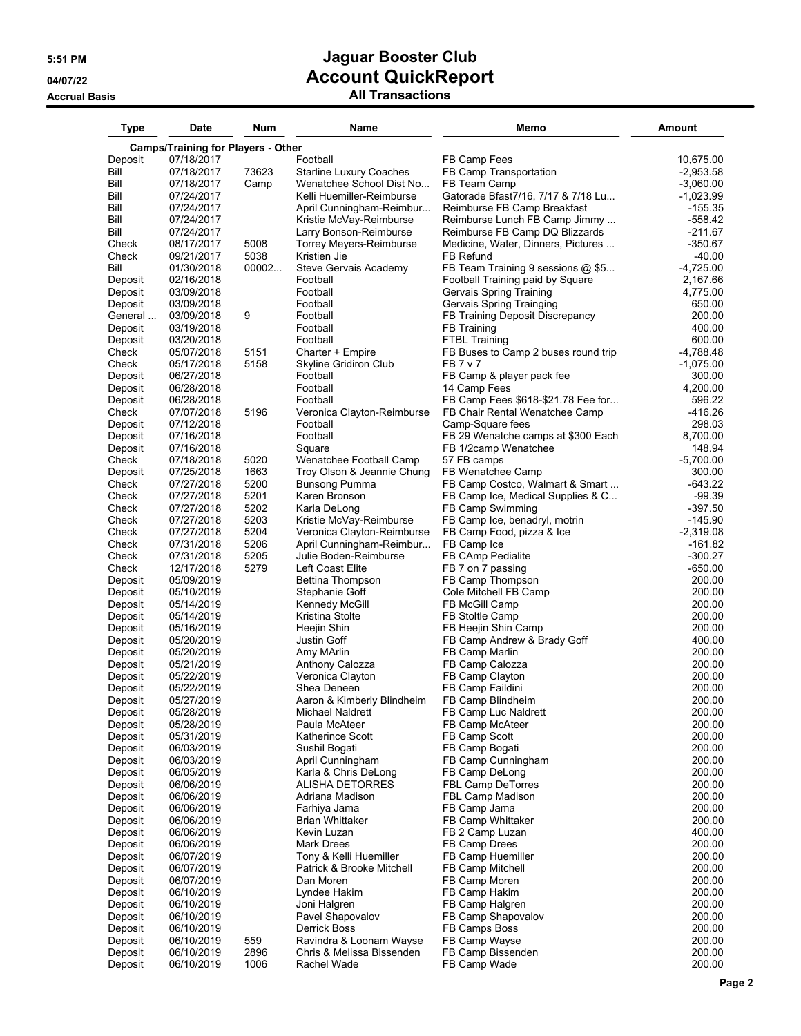| Type               | Date                                      | Num           | Name                                                  | Memo                                                                 | Amount                   |
|--------------------|-------------------------------------------|---------------|-------------------------------------------------------|----------------------------------------------------------------------|--------------------------|
|                    | <b>Camps/Training for Players - Other</b> |               |                                                       |                                                                      |                          |
| Deposit            | 07/18/2017                                |               | Football                                              | FB Camp Fees                                                         | 10,675.00                |
| Bill               | 07/18/2017                                | 73623         | <b>Starline Luxury Coaches</b>                        | FB Camp Transportation                                               | $-2,953.58$              |
| Bill<br>Bill       | 07/18/2017<br>07/24/2017                  | Camp          | Wenatchee School Dist No<br>Kelli Huemiller-Reimburse | FB Team Camp<br>Gatorade Bfast7/16, 7/17 & 7/18 Lu                   | $-3,060.00$<br>-1,023.99 |
| Bill               | 07/24/2017                                |               | April Cunningham-Reimbur                              | Reimburse FB Camp Breakfast                                          | $-155.35$                |
| Bill               | 07/24/2017                                |               | Kristie McVay-Reimburse                               | Reimburse Lunch FB Camp Jimmy                                        | $-558.42$                |
| Bill               | 07/24/2017                                |               | Larry Bonson-Reimburse                                | Reimburse FB Camp DQ Blizzards                                       | $-211.67$                |
| Check              | 08/17/2017                                | 5008          | Torrey Meyers-Reimburse                               | Medicine, Water, Dinners, Pictures                                   | $-350.67$                |
| Check<br>Bill      | 09/21/2017<br>01/30/2018                  | 5038<br>00002 | Kristien Jie<br>Steve Gervais Academy                 | FB Refund<br>FB Team Training 9 sessions @ \$5                       | $-40.00$<br>$-4,725.00$  |
| Deposit            | 02/16/2018                                |               | Football                                              | Football Training paid by Square                                     | 2,167.66                 |
| Deposit            | 03/09/2018                                |               | Football                                              | Gervais Spring Training                                              | 4,775.00                 |
| Deposit            | 03/09/2018                                |               | Football                                              | Gervais Spring Trainging                                             | 650.00                   |
| General            | 03/09/2018                                | 9             | Football                                              | FB Training Deposit Discrepancy                                      | 200.00                   |
| Deposit            | 03/19/2018<br>03/20/2018                  |               | Football<br>Football                                  | FB Training<br><b>FTBL Training</b>                                  | 400.00<br>600.00         |
| Deposit<br>Check   | 05/07/2018                                | 5151          | Charter + Empire                                      | FB Buses to Camp 2 buses round trip                                  | -4,788.48                |
| Check              | 05/17/2018                                | 5158          | Skyline Gridiron Club                                 | <b>FB7v7</b>                                                         | -1,075.00                |
| Deposit            | 06/27/2018                                |               | Football                                              | FB Camp & player pack fee                                            | 300.00                   |
| Deposit            | 06/28/2018                                |               | Football                                              | 14 Camp Fees                                                         | 4,200.00                 |
| Deposit            | 06/28/2018                                |               | Football                                              | FB Camp Fees \$618-\$21.78 Fee for                                   | 596.22<br>$-416.26$      |
| Check<br>Deposit   | 07/07/2018<br>07/12/2018                  | 5196          | Veronica Clayton-Reimburse<br>Football                | FB Chair Rental Wenatchee Camp<br>Camp-Square fees                   | 298.03                   |
| Deposit            | 07/16/2018                                |               | Football                                              | FB 29 Wenatche camps at \$300 Each                                   | 8,700.00                 |
| Deposit            | 07/16/2018                                |               | Square                                                | FB 1/2camp Wenatchee                                                 | 148.94                   |
| Check              | 07/18/2018                                | 5020          | Wenatchee Football Camp                               | 57 FB camps                                                          | $-5,700.00$              |
| Deposit            | 07/25/2018                                | 1663          | Troy Olson & Jeannie Chung                            | FB Wenatchee Camp                                                    | 300.00                   |
| Check<br>Check     | 07/27/2018<br>07/27/2018                  | 5200<br>5201  | <b>Bunsong Pumma</b><br>Karen Bronson                 | FB Camp Costco, Walmart & Smart<br>FB Camp Ice, Medical Supplies & C | $-643.22$<br>-99.39      |
| Check              | 07/27/2018                                | 5202          | Karla DeLong                                          | FB Camp Swimming                                                     | $-397.50$                |
| Check              | 07/27/2018                                | 5203          | Kristie McVay-Reimburse                               | FB Camp Ice, benadryl, motrin                                        | -145.90                  |
| Check              | 07/27/2018                                | 5204          | Veronica Clayton-Reimburse                            | FB Camp Food, pizza & Ice                                            | $-2,319.08$              |
| Check              | 07/31/2018                                | 5206          | April Cunningham-Reimbur                              | FB Camp Ice                                                          | $-161.82$                |
| Check              | 07/31/2018                                | 5205<br>5279  | Julie Boden-Reimburse                                 | FB CAmp Pedialite                                                    | $-300.27$<br>$-650.00$   |
| Check<br>Deposit   | 12/17/2018<br>05/09/2019                  |               | Left Coast Elite<br>Bettina Thompson                  | FB 7 on 7 passing<br>FB Camp Thompson                                | 200.00                   |
| Deposit            | 05/10/2019                                |               | Stephanie Goff                                        | Cole Mitchell FB Camp                                                | 200.00                   |
| Deposit            | 05/14/2019                                |               | Kennedy McGill                                        | FB McGill Camp                                                       | 200.00                   |
| Deposit            | 05/14/2019                                |               | Kristina Stolte                                       | FB Stoltle Camp                                                      | 200.00                   |
| Deposit            | 05/16/2019                                |               | Heejin Shin<br>Justin Goff                            | FB Heejin Shin Camp                                                  | 200.00<br>400.00         |
| Deposit<br>Deposit | 05/20/2019<br>05/20/2019                  |               | Amy MArlin                                            | FB Camp Andrew & Brady Goff<br>FB Camp Marlin                        | 200.00                   |
| Deposit            | 05/21/2019                                |               | Anthony Calozza                                       | FB Camp Calozza                                                      | 200.00                   |
| Deposit            | 05/22/2019                                |               | Veronica Clayton                                      | FB Camp Clayton                                                      | 200.00                   |
| Deposit            | 05/22/2019                                |               | Shea Deneen                                           | FB Camp Faildini                                                     | 200.00                   |
| Deposit            | 05/27/2019                                |               | Aaron & Kimberly Blindheim                            | FB Camp Blindheim                                                    | 200.00                   |
| Deposit<br>Deposit | 05/28/2019<br>05/28/2019                  |               | Michael Naldrett<br>Paula McAteer                     | FB Camp Luc Naldrett<br>FB Camp McAteer                              | 200.00<br>200.00         |
| Deposit            | 05/31/2019                                |               | Katherince Scott                                      | FB Camp Scott                                                        | 200.00                   |
| Deposit            | 06/03/2019                                |               | Sushil Bogati                                         | FB Camp Bogati                                                       | 200.00                   |
| Deposit            | 06/03/2019                                |               | April Cunningham                                      | FB Camp Cunningham                                                   | 200.00                   |
| Deposit            | 06/05/2019                                |               | Karla & Chris DeLong                                  | FB Camp DeLong                                                       | 200.00                   |
| Deposit<br>Deposit | 06/06/2019<br>06/06/2019                  |               | <b>ALISHA DETORRES</b><br>Adriana Madison             | <b>FBL Camp DeTorres</b><br>FBL Camp Madison                         | 200.00<br>200.00         |
| Deposit            | 06/06/2019                                |               | Farhiya Jama                                          | FB Camp Jama                                                         | 200.00                   |
| Deposit            | 06/06/2019                                |               | <b>Brian Whittaker</b>                                | FB Camp Whittaker                                                    | 200.00                   |
| Deposit            | 06/06/2019                                |               | Kevin Luzan                                           | FB 2 Camp Luzan                                                      | 400.00                   |
| Deposit            | 06/06/2019                                |               | Mark Drees                                            | FB Camp Drees                                                        | 200.00                   |
| Deposit<br>Deposit | 06/07/2019<br>06/07/2019                  |               | Tony & Kelli Huemiller<br>Patrick & Brooke Mitchell   | FB Camp Huemiller<br>FB Camp Mitchell                                | 200.00<br>200.00         |
| Deposit            | 06/07/2019                                |               | Dan Moren                                             | FB Camp Moren                                                        | 200.00                   |
| Deposit            | 06/10/2019                                |               | Lyndee Hakim                                          | FB Camp Hakim                                                        | 200.00                   |
| Deposit            | 06/10/2019                                |               | Joni Halgren                                          | FB Camp Halgren                                                      | 200.00                   |
| Deposit            | 06/10/2019                                |               | Pavel Shapovalov                                      | FB Camp Shapovalov                                                   | 200.00                   |
| Deposit            | 06/10/2019                                |               | Derrick Boss                                          | FB Camps Boss                                                        | 200.00                   |
| Deposit<br>Deposit | 06/10/2019<br>06/10/2019                  | 559<br>2896   | Ravindra & Loonam Wayse<br>Chris & Melissa Bissenden  | FB Camp Wayse<br>FB Camp Bissenden                                   | 200.00<br>200.00         |
| Deposit            | 06/10/2019                                | 1006          | Rachel Wade                                           | FB Camp Wade                                                         | 200.00                   |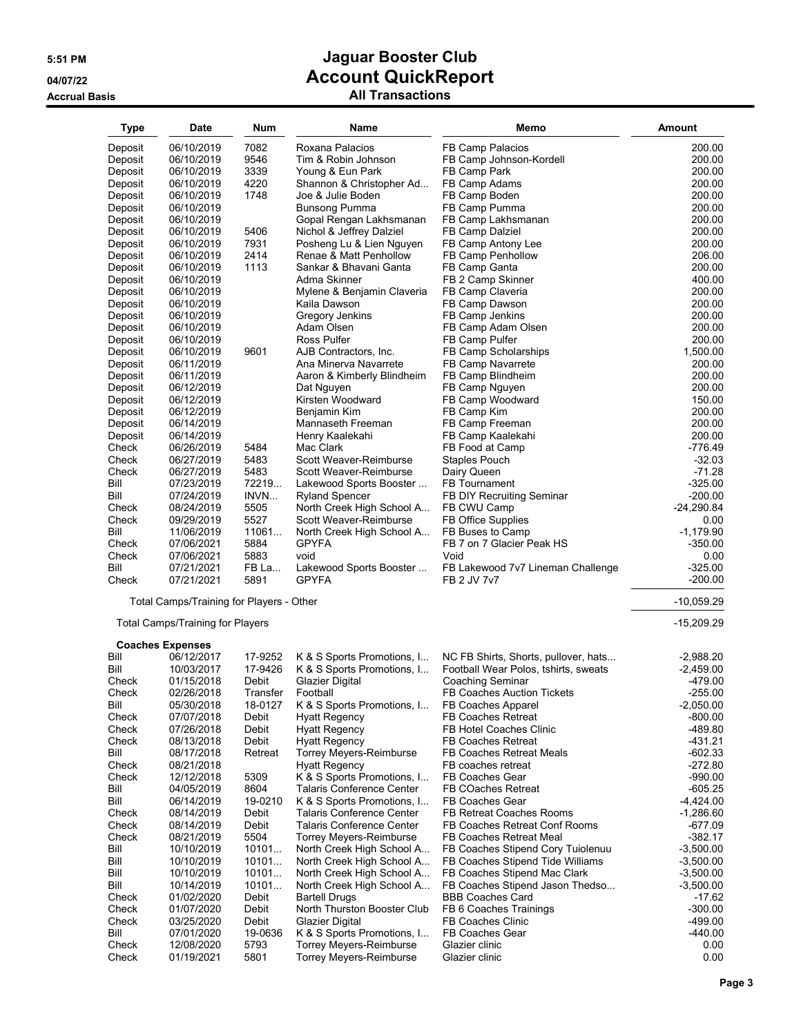| <b>Type</b> | Date                                     | <b>Num</b> | Name                             | Memo                                 | <b>Amount</b> |
|-------------|------------------------------------------|------------|----------------------------------|--------------------------------------|---------------|
| Deposit     | 06/10/2019                               | 7082       | Roxana Palacios                  | FB Camp Palacios                     | 200.00        |
| Deposit     | 06/10/2019                               | 9546       | Tim & Robin Johnson              | FB Camp Johnson-Kordell              | 200.00        |
| Deposit     | 06/10/2019                               | 3339       | Young & Eun Park                 | FB Camp Park                         | 200.00        |
| Deposit     | 06/10/2019                               | 4220       | Shannon & Christopher Ad         | FB Camp Adams                        | 200.00        |
| Deposit     | 06/10/2019                               | 1748       | Joe & Julie Boden                | FB Camp Boden                        | 200.00        |
| Deposit     | 06/10/2019                               |            | <b>Bunsong Pumma</b>             | FB Camp Pumma                        | 200.00        |
| Deposit     | 06/10/2019                               |            | Gopal Rengan Lakhsmanan          | FB Camp Lakhsmanan                   | 200.00        |
| Deposit     | 06/10/2019                               | 5406       | Nichol & Jeffrey Dalziel         | FB Camp Dalziel                      | 200.00        |
| Deposit     | 06/10/2019                               | 7931       | Posheng Lu & Lien Nguyen         | FB Camp Antony Lee                   | 200.00        |
| Deposit     | 06/10/2019                               | 2414       | Renae & Matt Penhollow           | FB Camp Penhollow                    | 206.00        |
| Deposit     | 06/10/2019                               | 1113       | Sankar & Bhavani Ganta           | FB Camp Ganta                        | 200.00        |
| Deposit     | 06/10/2019                               |            | Adma Skinner                     | FB 2 Camp Skinner                    | 400.00        |
| Deposit     | 06/10/2019                               |            | Mylene & Benjamin Claveria       | FB Camp Claveria                     | 200.00        |
|             | 06/10/2019                               |            | Kaila Dawson                     | FB Camp Dawson                       | 200.00        |
| Deposit     |                                          |            |                                  | FB Camp Jenkins                      | 200.00        |
| Deposit     | 06/10/2019                               |            | Gregory Jenkins                  |                                      |               |
| Deposit     | 06/10/2019                               |            | Adam Olsen                       | FB Camp Adam Olsen                   | 200.00        |
| Deposit     | 06/10/2019                               |            | <b>Ross Pulfer</b>               | FB Camp Pulfer                       | 200.00        |
| Deposit     | 06/10/2019                               | 9601       | AJB Contractors, Inc.            | FB Camp Scholarships                 | 1,500.00      |
| Deposit     | 06/11/2019                               |            | Ana Minerva Navarrete            | FB Camp Navarrete                    | 200.00        |
| Deposit     | 06/11/2019                               |            | Aaron & Kimberly Blindheim       | FB Camp Blindheim                    | 200.00        |
| Deposit     | 06/12/2019                               |            | Dat Nguyen                       | FB Camp Nguyen                       | 200.00        |
| Deposit     | 06/12/2019                               |            | Kirsten Woodward                 | FB Camp Woodward                     | 150.00        |
| Deposit     | 06/12/2019                               |            | Benjamin Kim                     | FB Camp Kim                          | 200.00        |
| Deposit     | 06/14/2019                               |            | Mannaseth Freeman                | FB Camp Freeman                      | 200.00        |
| Deposit     | 06/14/2019                               |            | Henry Kaalekahi                  | FB Camp Kaalekahi                    | 200.00        |
| Check       | 06/26/2019                               | 5484       | Mac Clark                        | FB Food at Camp                      | $-776.49$     |
| Check       | 06/27/2019                               | 5483       | Scott Weaver-Reimburse           | <b>Staples Pouch</b>                 | $-32.03$      |
| Check       | 06/27/2019                               | 5483       | Scott Weaver-Reimburse           | Dairy Queen                          | $-71.28$      |
| Bill        | 07/23/2019                               | 72219      | Lakewood Sports Booster          | FB Tournament                        | $-325.00$     |
| Bill        | 07/24/2019                               | INVN       | <b>Ryland Spencer</b>            | FB DIY Recruiting Seminar            | $-200.00$     |
| Check       | 08/24/2019                               | 5505       | North Creek High School A        | FB CWU Camp                          | $-24,290.84$  |
| Check       | 09/29/2019                               | 5527       | Scott Weaver-Reimburse           | FB Office Supplies                   | 0.00          |
| Bill        | 11/06/2019                               | 11061      | North Creek High School A        | FB Buses to Camp                     | $-1,179.90$   |
| Check       | 07/06/2021                               | 5884       | <b>GPYFA</b>                     | FB 7 on 7 Glacier Peak HS            | $-350.00$     |
| Check       | 07/06/2021                               | 5883       | void                             | Void                                 | 0.00          |
| Bill        | 07/21/2021                               | FB La      | Lakewood Sports Booster          | FB Lakewood 7v7 Lineman Challenge    | $-325.00$     |
| Check       | 07/21/2021                               | 5891       | <b>GPYFA</b>                     | FB 2 JV 7v7                          | $-200.00$     |
|             | Total Camps/Training for Players - Other |            |                                  |                                      | $-10,059.29$  |
|             | <b>Total Camps/Training for Players</b>  |            |                                  |                                      | $-15,209.29$  |
|             | <b>Coaches Expenses</b>                  |            |                                  |                                      |               |
| Bill        | 06/12/2017                               | 17-9252    | K & S Sports Promotions, I       | NC FB Shirts, Shorts, pullover, hats | $-2,988.20$   |
| Bill        | 10/03/2017                               | 17-9426    | K & S Sports Promotions, I       | Football Wear Polos, tshirts, sweats | $-2,459.00$   |
| Check       | 01/15/2018                               | Debit      | <b>Glazier Digital</b>           | <b>Coaching Seminar</b>              | $-479.00$     |
| Check       | 02/26/2018                               | Transfer   | Football                         | <b>FB Coaches Auction Tickets</b>    | $-255.00$     |
| Bill        | 05/30/2018                               | 18-0127    | K & S Sports Promotions, I       | FB Coaches Apparel                   | -2,050.00     |
| Check       | 07/07/2018                               | Debit      | <b>Hyatt Regency</b>             | <b>FB Coaches Retreat</b>            | $-800.00$     |
| Check       | 07/26/2018                               | Debit      | <b>Hyatt Regency</b>             | FB Hotel Coaches Clinic              | -489.80       |
| Check       | 08/13/2018                               | Debit      | <b>Hyatt Regency</b>             | <b>FB Coaches Retreat</b>            | -431.21       |
| Bill        | 08/17/2018                               | Retreat    | Torrey Meyers-Reimburse          | FB Coaches Retreat Meals             | $-602.33$     |
| Check       | 08/21/2018                               |            | <b>Hyatt Regency</b>             | FB coaches retreat                   | $-272.80$     |
| Check       | 12/12/2018                               | 5309       | K & S Sports Promotions, I       | FB Coaches Gear                      | $-990.00$     |
| Bill        | 04/05/2019                               | 8604       | <b>Talaris Conference Center</b> | FB COaches Retreat                   | $-605.25$     |
| Bill        | 06/14/2019                               | 19-0210    | K & S Sports Promotions, I       | FB Coaches Gear                      | $-4,424.00$   |
| Check       | 08/14/2019                               | Debit      | Talaris Conference Center        | <b>FB Retreat Coaches Rooms</b>      | $-1,286.60$   |
| Check       | 08/14/2019                               | Debit      | <b>Talaris Conference Center</b> | FB Coaches Retreat Conf Rooms        | $-677.09$     |
| Check       | 08/21/2019                               | 5504       | Torrey Meyers-Reimburse          | FB Coaches Retreat Meal              | $-382.17$     |
| Bill        | 10/10/2019                               | 10101      | North Creek High School A        | FB Coaches Stipend Cory Tuiolenuu    | $-3,500.00$   |
| Bill        | 10/10/2019                               | 10101      | North Creek High School A        | FB Coaches Stipend Tide Williams     | $-3,500.00$   |
| Bill        | 10/10/2019                               | 10101      | North Creek High School A        | FB Coaches Stipend Mac Clark         | $-3,500.00$   |
| Bill        | 10/14/2019                               | 10101      | North Creek High School A        | FB Coaches Stipend Jason Thedso      | $-3,500.00$   |
| Check       |                                          | Debit      | <b>Bartell Drugs</b>             | <b>BBB Coaches Card</b>              | $-17.62$      |
|             | 01/02/2020                               | Debit      | North Thurston Booster Club      |                                      |               |
| Check       | 01/07/2020                               |            |                                  | FB 6 Coaches Trainings               | $-300.00$     |
| Check       | 03/25/2020                               | Debit      | Glazier Digital                  | <b>FB Coaches Clinic</b>             | -499.00       |
| Bill        | 07/01/2020                               | 19-0636    | K & S Sports Promotions, I       | FB Coaches Gear                      | $-440.00$     |
| Check       | 12/08/2020                               | 5793       | <b>Torrey Meyers-Reimburse</b>   | Glazier clinic                       | 0.00          |
| Check       | 01/19/2021                               | 5801       | <b>Torrey Meyers-Reimburse</b>   | Glazier clinic                       | 0.00          |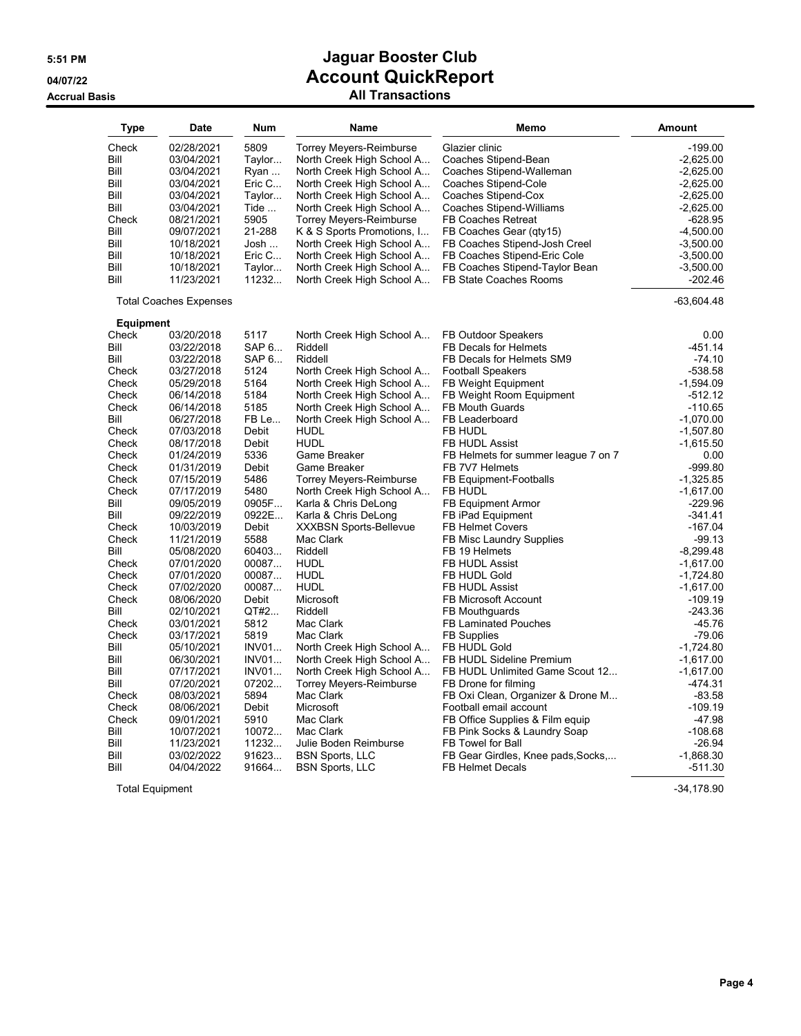| <b>Type</b>      | <b>Date</b>                   | <b>Num</b>   | Name                           | Memo                                | Amount       |
|------------------|-------------------------------|--------------|--------------------------------|-------------------------------------|--------------|
| Check            | 02/28/2021                    | 5809         | <b>Torrey Meyers-Reimburse</b> | Glazier clinic                      | $-199.00$    |
| Bill             | 03/04/2021                    | Taylor       | North Creek High School A      | Coaches Stipend-Bean                | $-2,625.00$  |
| Bill             | 03/04/2021                    | Ryan         | North Creek High School A      | Coaches Stipend-Walleman            | $-2,625.00$  |
| Bill             | 03/04/2021                    | Eric C       | North Creek High School A      | Coaches Stipend-Cole                | $-2,625.00$  |
| Bill             | 03/04/2021                    | Taylor       | North Creek High School A      | Coaches Stipend-Cox                 | $-2,625.00$  |
|                  |                               |              |                                |                                     |              |
| Bill             | 03/04/2021                    | Tide         | North Creek High School A      | Coaches Stipend-Williams            | $-2,625.00$  |
| Check            | 08/21/2021                    | 5905         | <b>Torrey Meyers-Reimburse</b> | FB Coaches Retreat                  | -628.95      |
| Bill             | 09/07/2021                    | 21-288       | K & S Sports Promotions, I     | FB Coaches Gear (qty15)             | $-4,500.00$  |
| Bill             | 10/18/2021                    | Josh         | North Creek High School A      | FB Coaches Stipend-Josh Creel       | $-3,500.00$  |
| Bill             | 10/18/2021                    | Eric C       | North Creek High School A      | FB Coaches Stipend-Eric Cole        | $-3,500.00$  |
| Bill             | 10/18/2021                    | Taylor       | North Creek High School A      | FB Coaches Stipend-Taylor Bean      | $-3,500.00$  |
| Bill             | 11/23/2021                    | 11232        | North Creek High School A      | FB State Coaches Rooms              | $-202.46$    |
|                  | <b>Total Coaches Expenses</b> |              |                                |                                     | $-63,604.48$ |
| <b>Equipment</b> |                               |              |                                |                                     |              |
| Check            | 03/20/2018                    | 5117         | North Creek High School A      | FB Outdoor Speakers                 | 0.00         |
| Bill             | 03/22/2018                    | SAP 6        | Riddell                        | FB Decals for Helmets               | $-451.14$    |
| Bill             | 03/22/2018                    | SAP 6        | Riddell                        | FB Decals for Helmets SM9           | $-74.10$     |
| Check            | 03/27/2018                    | 5124         | North Creek High School A      | <b>Football Speakers</b>            | -538.58      |
| Check            | 05/29/2018                    | 5164         | North Creek High School A      | <b>FB Weight Equipment</b>          | $-1,594.09$  |
| Check            | 06/14/2018                    | 5184         | North Creek High School A      | FB Weight Room Equipment            | $-512.12$    |
| Check            | 06/14/2018                    | 5185         | North Creek High School A      | <b>FB Mouth Guards</b>              | $-110.65$    |
| Bill             | 06/27/2018                    | FB Le        | North Creek High School A      | FB Leaderboard                      | $-1,070.00$  |
| Check            | 07/03/2018                    | <b>Debit</b> | <b>HUDL</b>                    | FB HUDL                             | $-1,507.80$  |
| Check            | 08/17/2018                    | Debit        | <b>HUDL</b>                    | FB HUDL Assist                      | $-1,615.50$  |
| Check            | 01/24/2019                    | 5336         | Game Breaker                   | FB Helmets for summer league 7 on 7 | 0.00         |
| Check            | 01/31/2019                    | Debit        | Game Breaker                   | FB 7V7 Helmets                      | $-999.80$    |
| Check            | 07/15/2019                    | 5486         | <b>Torrey Meyers-Reimburse</b> | FB Equipment-Footballs              | $-1,325.85$  |
| Check            | 07/17/2019                    | 5480         | North Creek High School A      | FB HUDL                             | $-1,617.00$  |
| Bill             | 09/05/2019                    | 0905F        | Karla & Chris DeLong           | <b>FB Equipment Armor</b>           | $-229.96$    |
| Bill             | 09/22/2019                    | 0922E        | Karla & Chris DeLong           | FB iPad Equipment                   | $-341.41$    |
| Check            | 10/03/2019                    | Debit        | <b>XXXBSN Sports-Bellevue</b>  | <b>FB Helmet Covers</b>             | $-167.04$    |
| Check            | 11/21/2019                    | 5588         | Mac Clark                      | FB Misc Laundry Supplies            | $-99.13$     |
| Bill             | 05/08/2020                    | 60403        | Riddell                        | FB 19 Helmets                       | $-8,299.48$  |
| Check            | 07/01/2020                    | 00087        | <b>HUDL</b>                    | FB HUDL Assist                      | $-1,617.00$  |
| Check            | 07/01/2020                    | 00087        | <b>HUDL</b>                    | FB HUDL Gold                        | $-1,724.80$  |
| Check            | 07/02/2020                    | 00087        | <b>HUDL</b>                    | FB HUDL Assist                      | $-1,617.00$  |
| Check            | 08/06/2020                    | Debit        | Microsoft                      | FB Microsoft Account                | $-109.19$    |
| Bill             | 02/10/2021                    | QT#2         | Riddell                        | FB Mouthguards                      | $-243.36$    |
| Check            | 03/01/2021                    | 5812         | Mac Clark                      | <b>FB Laminated Pouches</b>         | $-45.76$     |
|                  |                               | 5819         |                                |                                     | $-79.06$     |
| Check<br>Bill    | 03/17/2021                    |              | Mac Clark                      | <b>FB Supplies</b>                  |              |
|                  | 05/10/2021                    | <b>INV01</b> | North Creek High School A      | FB HUDL Gold                        | $-1,724.80$  |
| Bill             | 06/30/2021                    | INVO1        | North Creek High School A      | FB HUDL Sideline Premium            | $-1,617.00$  |
| Bill             | 07/17/2021                    | <b>INV01</b> | North Creek High School A      | FB HUDL Unlimited Game Scout 12     | $-1,617.00$  |
| Bill             | 07/20/2021                    | 07202        | <b>Torrey Meyers-Reimburse</b> | FB Drone for filming                | $-474.31$    |
| Check            | 08/03/2021                    | 5894         | Mac Clark                      | FB Oxi Clean, Organizer & Drone M   | $-83.58$     |
| Check            | 08/06/2021                    | Debit        | Microsoft                      | Football email account              | $-109.19$    |
| Check            | 09/01/2021                    | 5910         | Mac Clark                      | FB Office Supplies & Film equip     | $-47.98$     |
| Bill             | 10/07/2021                    | 10072        | Mac Clark                      | FB Pink Socks & Laundry Soap        | $-108.68$    |
| Bill             | 11/23/2021                    | 11232        | Julie Boden Reimburse          | FB Towel for Ball                   | $-26.94$     |
| Bill             | 03/02/2022                    | 91623        | <b>BSN Sports, LLC</b>         | FB Gear Girdles, Knee pads, Socks,  | $-1,868.30$  |
| Bill             | 04/04/2022                    | 91664        | <b>BSN Sports, LLC</b>         | FB Helmet Decals                    | -511.30      |

Total Equipment -34,178.90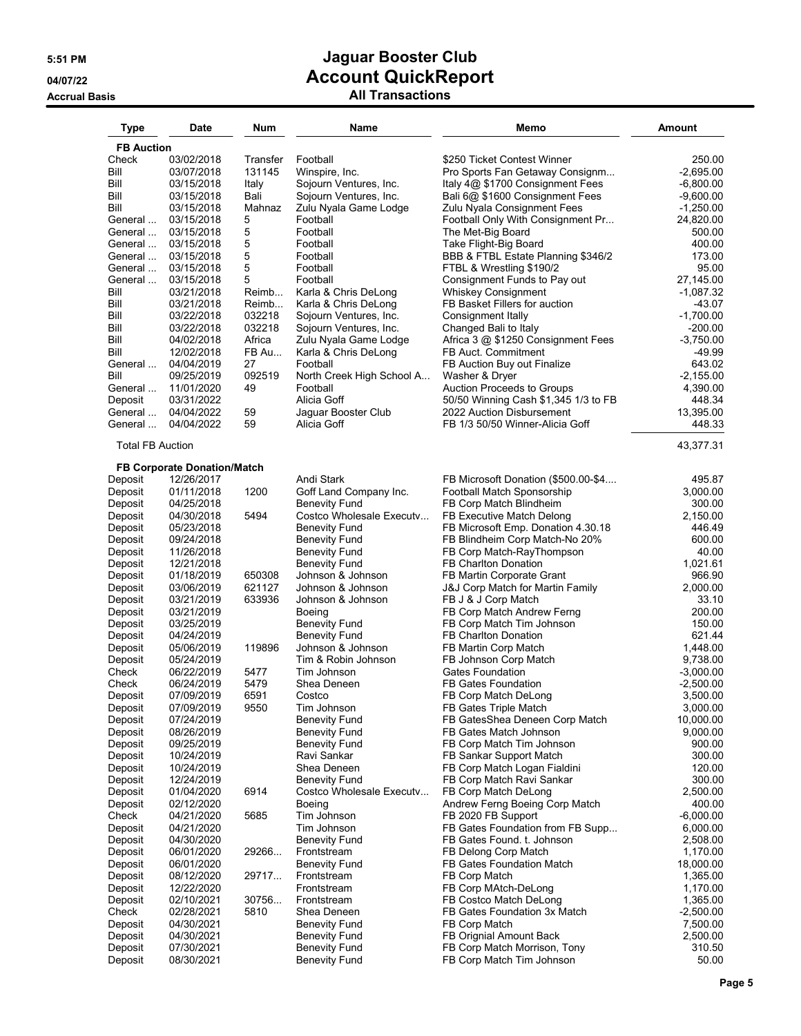| <b>Type</b>             | <b>Date</b>                                      | Num             | Name                                | Memo                                                      | Amount                |
|-------------------------|--------------------------------------------------|-----------------|-------------------------------------|-----------------------------------------------------------|-----------------------|
| <b>FB Auction</b>       |                                                  |                 |                                     |                                                           |                       |
| Check                   | 03/02/2018                                       | Transfer        | Football                            | \$250 Ticket Contest Winner                               | 250.00                |
| Bill                    | 03/07/2018                                       | 131145          | Winspire, Inc.                      | Pro Sports Fan Getaway Consignm                           | $-2,695.00$           |
| Bill                    | 03/15/2018                                       | Italy           | Sojourn Ventures, Inc.              | Italy 4@ \$1700 Consignment Fees                          | $-6,800.00$           |
| Bill                    | 03/15/2018                                       | Bali            | Sojourn Ventures, Inc.              | Bali 6@ \$1600 Consignment Fees                           | $-9,600.00$           |
| Bill                    | 03/15/2018                                       | Mahnaz          | Zulu Nyala Game Lodge               | Zulu Nyala Consignment Fees                               | $-1,250.00$           |
| General                 | 03/15/2018                                       | 5               | Football                            | Football Only With Consignment Pr                         | 24,820.00             |
| General                 | 03/15/2018                                       | 5               | Football                            | The Met-Big Board                                         | 500.00                |
| General                 | 03/15/2018                                       | 5               | Football                            | Take Flight-Big Board                                     | 400.00                |
| General                 | 03/15/2018                                       | 5               | Football                            | BBB & FTBL Estate Planning \$346/2                        | 173.00                |
| General                 | 03/15/2018                                       | 5               | Football                            | FTBL & Wrestling \$190/2                                  | 95.00                 |
| General                 | 03/15/2018                                       | 5               | Football                            | Consignment Funds to Pay out                              | 27,145.00             |
| Bill                    | 03/21/2018                                       | Reimb           | Karla & Chris DeLong                | <b>Whiskey Consignment</b>                                | $-1,087.32$           |
| Bill                    | 03/21/2018                                       | Reimb           | Karla & Chris DeLong                | FB Basket Fillers for auction                             | -43.07                |
| Bill                    | 03/22/2018                                       | 032218          | Sojourn Ventures, Inc.              | Consignment Itally                                        | $-1,700.00$           |
| Bill                    | 03/22/2018                                       | 032218          | Sojourn Ventures, Inc.              | Changed Bali to Italy                                     | $-200.00$             |
| Bill<br>Bill            | 04/02/2018<br>12/02/2018                         | Africa<br>FB Au | Zulu Nyala Game Lodge               | Africa 3 @ \$1250 Consignment Fees<br>FB Auct. Commitment | $-3,750.00$<br>-49.99 |
| General                 | 04/04/2019                                       | 27              | Karla & Chris DeLong<br>Football    |                                                           | 643.02                |
| Bill                    | 09/25/2019                                       | 092519          | North Creek High School A           | FB Auction Buy out Finalize<br>Washer & Dryer             | $-2,155.00$           |
| General                 | 11/01/2020                                       | 49              | Football                            | <b>Auction Proceeds to Groups</b>                         | 4,390.00              |
| Deposit                 | 03/31/2022                                       |                 | Alicia Goff                         | 50/50 Winning Cash \$1,345 1/3 to FB                      | 448.34                |
| General                 | 04/04/2022                                       | 59              | Jaguar Booster Club                 | 2022 Auction Disbursement                                 | 13,395.00             |
| General                 | 04/04/2022                                       | 59              | Alicia Goff                         | FB 1/3 50/50 Winner-Alicia Goff                           | 448.33                |
| <b>Total FB Auction</b> |                                                  |                 |                                     |                                                           | 43,377.31             |
| Deposit                 | <b>FB Corporate Donation/Match</b><br>12/26/2017 |                 | Andi Stark                          | FB Microsoft Donation (\$500.00-\$4                       | 495.87                |
| Deposit                 | 01/11/2018                                       | 1200            | Goff Land Company Inc.              | Football Match Sponsorship                                | 3,000.00              |
| Deposit                 | 04/25/2018                                       |                 | <b>Benevity Fund</b>                | FB Corp Match Blindheim                                   | 300.00                |
| Deposit                 | 04/30/2018                                       | 5494            | Costco Wholesale Executv            | FB Executive Match Delong                                 | 2,150.00              |
| Deposit                 | 05/23/2018                                       |                 | <b>Benevity Fund</b>                | FB Microsoft Emp. Donation 4.30.18                        | 446.49                |
| Deposit                 | 09/24/2018                                       |                 | <b>Benevity Fund</b>                | FB Blindheim Corp Match-No 20%                            | 600.00                |
| Deposit                 | 11/26/2018                                       |                 | <b>Benevity Fund</b>                | FB Corp Match-RayThompson                                 | 40.00                 |
| Deposit                 | 12/21/2018                                       |                 | <b>Benevity Fund</b>                | <b>FB Charlton Donation</b>                               | 1,021.61              |
| Deposit                 | 01/18/2019                                       | 650308          | Johnson & Johnson                   | FB Martin Corporate Grant                                 | 966.90                |
| Deposit                 | 03/06/2019                                       | 621127          | Johnson & Johnson                   | J&J Corp Match for Martin Family                          | 2,000.00              |
| Deposit                 | 03/21/2019                                       | 633936          | Johnson & Johnson                   | FB J & J Corp Match                                       | 33.10                 |
| Deposit                 | 03/21/2019                                       |                 | Boeing                              | FB Corp Match Andrew Ferng                                | 200.00                |
| Deposit                 | 03/25/2019                                       |                 | <b>Benevity Fund</b>                | FB Corp Match Tim Johnson                                 | 150.00                |
| Deposit                 | 04/24/2019                                       |                 | <b>Benevity Fund</b>                | <b>FB Charlton Donation</b>                               | 621.44                |
| Deposit                 | 05/06/2019                                       | 119896          | Johnson & Johnson                   | FB Martin Corp Match                                      | 1,448.00              |
| Deposit                 | 05/24/2019                                       |                 | Tim & Robin Johnson                 | FB Johnson Corp Match                                     | 9,738.00              |
| Check                   | 06/22/2019                                       | 5477            | Tim Johnson                         | <b>Gates Foundation</b>                                   | $-3,000.00$           |
| Check                   | 06/24/2019                                       | 5479            | Shea Deneen                         | FB Gates Foundation                                       | $-2,500.00$           |
| Deposit                 | 07/09/2019                                       | 6591            | Costco                              | FB Corp Match DeLong                                      | 3,500.00              |
| Deposit                 | 07/09/2019                                       | 9550            | Tim Johnson                         | FB Gates Triple Match                                     | 3,000.00              |
| Deposit                 | 07/24/2019                                       |                 | <b>Benevity Fund</b>                | FB GatesShea Deneen Corp Match                            | 10,000.00<br>9,000.00 |
| Deposit                 | 08/26/2019                                       |                 | <b>Benevity Fund</b>                | FB Gates Match Johnson                                    | 900.00                |
| Deposit<br>Deposit      | 09/25/2019<br>10/24/2019                         |                 | <b>Benevity Fund</b><br>Ravi Sankar | FB Corp Match Tim Johnson<br>FB Sankar Support Match      | 300.00                |
| Deposit                 | 10/24/2019                                       |                 | Shea Deneen                         | FB Corp Match Logan Fialdini                              | 120.00                |
| Deposit                 | 12/24/2019                                       |                 | <b>Benevity Fund</b>                | FB Corp Match Ravi Sankar                                 | 300.00                |
| Deposit                 | 01/04/2020                                       | 6914            | Costco Wholesale Executy            | FB Corp Match DeLong                                      | 2,500.00              |
| Deposit                 | 02/12/2020                                       |                 | Boeing                              | Andrew Ferng Boeing Corp Match                            | 400.00                |
| Check                   | 04/21/2020                                       | 5685            | Tim Johnson                         | FB 2020 FB Support                                        | -6,000.00             |
| Deposit                 | 04/21/2020                                       |                 | Tim Johnson                         | FB Gates Foundation from FB Supp                          | 6,000.00              |
| Deposit                 | 04/30/2020                                       |                 | <b>Benevity Fund</b>                | FB Gates Found. t. Johnson                                | 2,508.00              |
| Deposit                 | 06/01/2020                                       | 29266           | Frontstream                         | FB Delong Corp Match                                      | 1,170.00              |
| Deposit                 | 06/01/2020                                       |                 | <b>Benevity Fund</b>                | FB Gates Foundation Match                                 | 18,000.00             |
| Deposit                 | 08/12/2020                                       | 29717           | Frontstream                         | FB Corp Match                                             | 1,365.00              |
| Deposit                 | 12/22/2020                                       |                 | Frontstream                         | FB Corp MAtch-DeLong                                      | 1,170.00              |
| Deposit                 | 02/10/2021                                       | 30756           | Frontstream                         | FB Costco Match DeLong                                    | 1,365.00              |
| Check                   | 02/28/2021                                       | 5810            | Shea Deneen                         | FB Gates Foundation 3x Match                              | $-2,500.00$           |
| Deposit                 | 04/30/2021                                       |                 | <b>Benevity Fund</b>                | FB Corp Match                                             | 7,500.00              |
| Deposit                 | 04/30/2021                                       |                 | <b>Benevity Fund</b>                | FB Orignial Amount Back                                   | 2,500.00              |
| Deposit                 | 07/30/2021                                       |                 | <b>Benevity Fund</b>                | FB Corp Match Morrison, Tony                              | 310.50                |
| Deposit                 | 08/30/2021                                       |                 | <b>Benevity Fund</b>                | FB Corp Match Tim Johnson                                 | 50.00                 |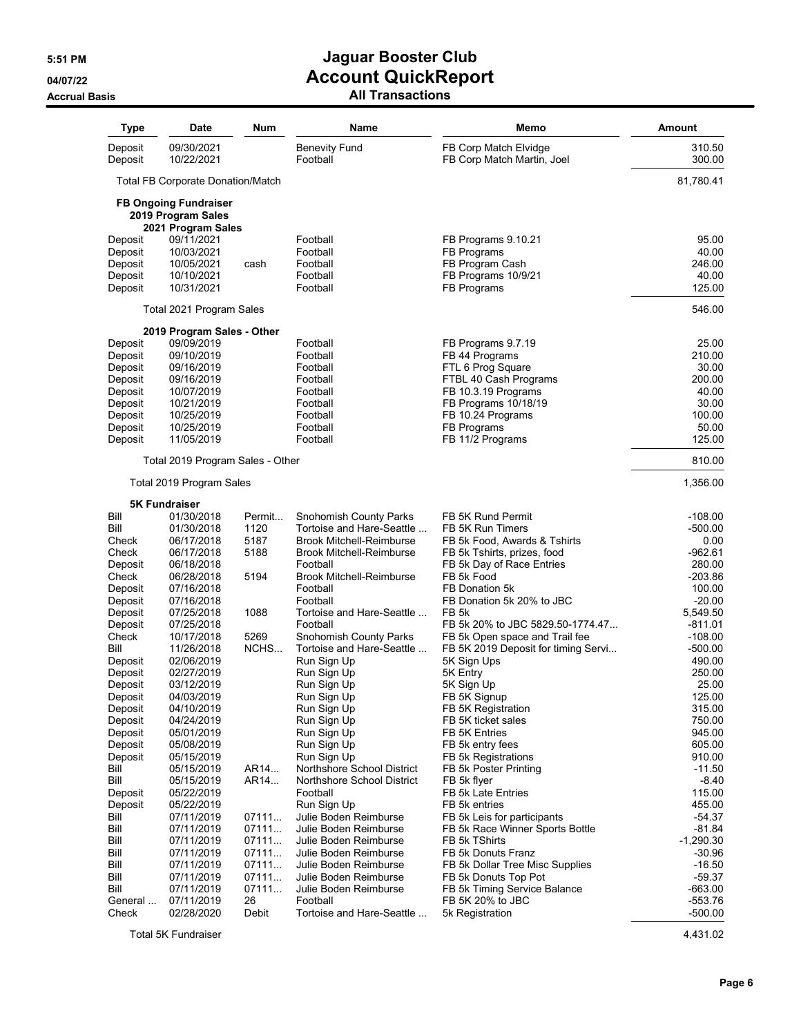### **Accrual Basis All Transactions**

| <b>Type</b>        | <b>Date</b>                                                              | Num         | <b>Name</b>                           | Memo                                                  | Amount                 |
|--------------------|--------------------------------------------------------------------------|-------------|---------------------------------------|-------------------------------------------------------|------------------------|
| Deposit<br>Deposit | 09/30/2021<br>10/22/2021                                                 |             | <b>Benevity Fund</b><br>Football      | FB Corp Match Elvidge<br>FB Corp Match Martin, Joel   | 310.50<br>300.00       |
|                    | <b>Total FB Corporate Donation/Match</b>                                 |             |                                       |                                                       | 81,780.41              |
|                    | <b>FB Ongoing Fundraiser</b><br>2019 Program Sales<br>2021 Program Sales |             |                                       |                                                       |                        |
| Deposit            | 09/11/2021                                                               |             | Football                              | FB Programs 9.10.21                                   | 95.00                  |
| Deposit            | 10/03/2021                                                               |             | Football                              | FB Programs                                           | 40.00                  |
| Deposit            | 10/05/2021                                                               | cash        | Football                              | FB Program Cash                                       | 246.00                 |
| Deposit            | 10/10/2021                                                               |             | Football                              | FB Programs 10/9/21                                   | 40.00                  |
| Deposit            | 10/31/2021                                                               |             | Football                              | FB Programs                                           | 125.00                 |
|                    | Total 2021 Program Sales                                                 |             |                                       |                                                       | 546.00                 |
|                    | 2019 Program Sales - Other                                               |             |                                       |                                                       |                        |
| Deposit            | 09/09/2019                                                               |             | Football                              | FB Programs 9.7.19                                    | 25.00                  |
| Deposit            | 09/10/2019                                                               |             | Football                              | FB 44 Programs                                        | 210.00                 |
| Deposit            | 09/16/2019                                                               |             | Football                              | FTL 6 Prog Square                                     | 30.00                  |
| Deposit            | 09/16/2019                                                               |             | Football                              | FTBL 40 Cash Programs                                 | 200.00                 |
| Deposit            | 10/07/2019                                                               |             | Football                              | FB 10.3.19 Programs                                   | 40.00                  |
| Deposit            | 10/21/2019                                                               |             | Football                              | FB Programs 10/18/19                                  | 30.00                  |
| Deposit            | 10/25/2019                                                               |             | Football                              | FB 10.24 Programs                                     | 100.00                 |
| Deposit            | 10/25/2019                                                               |             | Football                              | FB Programs                                           | 50.00                  |
| Deposit            | 11/05/2019                                                               |             | Football                              | FB 11/2 Programs                                      | 125.00<br>810.00       |
|                    | Total 2019 Program Sales - Other                                         |             |                                       |                                                       |                        |
|                    | Total 2019 Program Sales                                                 |             |                                       |                                                       | 1,356.00               |
|                    | <b>5K Fundraiser</b>                                                     |             |                                       |                                                       |                        |
| Bill               | 01/30/2018                                                               | Permit      | <b>Snohomish County Parks</b>         | FB 5K Rund Permit                                     | $-108.00$              |
| Bill               | 01/30/2018                                                               | 1120        | Tortoise and Hare-Seattle             | FB 5K Run Timers                                      | $-500.00$              |
| Check              | 06/17/2018                                                               | 5187        | <b>Brook Mitchell-Reimburse</b>       | FB 5k Food, Awards & Tshirts                          | 0.00                   |
| Check              | 06/17/2018                                                               | 5188        | <b>Brook Mitchell-Reimburse</b>       | FB 5k Tshirts, prizes, food                           | $-962.61$              |
| Deposit            | 06/18/2018                                                               |             | Football                              | FB 5k Day of Race Entries                             | 280.00                 |
| Check              | 06/28/2018                                                               | 5194        | <b>Brook Mitchell-Reimburse</b>       | FB 5k Food                                            | $-203.86$              |
| Deposit            | 07/16/2018                                                               |             | Football                              | FB Donation 5k                                        | 100.00                 |
| Deposit            | 07/16/2018                                                               |             | Football                              | FB Donation 5k 20% to JBC                             | $-20.00$               |
| Deposit            | 07/25/2018<br>07/25/2018                                                 | 1088        | Tortoise and Hare-Seattle<br>Football | FB <sub>5</sub> k<br>FB 5k 20% to JBC 5829.50-1774.47 | 5,549.50<br>$-811.01$  |
| Deposit<br>Check   | 10/17/2018                                                               | 5269        | Snohomish County Parks                | FB 5k Open space and Trail fee                        | $-108.00$              |
| Bill               | 11/26/2018                                                               | NCHS        | Tortoise and Hare-Seattle             | FB 5K 2019 Deposit for timing Servi                   | $-500.00$              |
| Deposit            | 02/06/2019                                                               |             | Run Sign Up                           | 5K Sign Ups                                           | 490.00                 |
| Deposit            | 02/27/2019                                                               |             | Run Sign Up                           | 5K Entry                                              | 250.00                 |
| Deposit            | 03/12/2019                                                               |             | Run Sign Up                           | 5K Sign Up                                            | 25.00                  |
| Deposit            | 04/03/2019                                                               |             | Run Sign Up                           | FB 5K Signup                                          | 125.00                 |
| Deposit            | 04/10/2019                                                               |             | Run Sign Up                           | FB 5K Registration                                    | 315.00                 |
| Deposit            | 04/24/2019                                                               |             | Run Sign Up                           | FB 5K ticket sales                                    | 750.00                 |
| Deposit            | 05/01/2019                                                               |             | Run Sign Up                           | FB 5K Entries                                         | 945.00                 |
| Deposit            | 05/08/2019                                                               |             | Run Sign Up                           | FB 5k entry fees                                      | 605.00                 |
| Deposit            | 05/15/2019                                                               |             | Run Sign Up                           | FB 5k Registrations                                   | 910.00                 |
| Bill               | 05/15/2019                                                               | AR14        | Northshore School District            | FB 5k Poster Printing                                 | $-11.50$               |
| Bill               | 05/15/2019                                                               | AR14        | Northshore School District            | FB 5k flyer                                           | $-8.40$                |
| Deposit            | 05/22/2019                                                               |             | Football                              | FB 5k Late Entries                                    | 115.00                 |
| Deposit            | 05/22/2019                                                               |             | Run Sign Up                           | FB 5k entries                                         | 455.00                 |
| Bill               | 07/11/2019                                                               | 07111       | Julie Boden Reimburse                 | FB 5k Leis for participants                           | $-54.37$               |
| Bill               | 07/11/2019                                                               | 07111       | Julie Boden Reimburse                 | FB 5k Race Winner Sports Bottle                       | $-81.84$               |
| Bill               | 07/11/2019                                                               | 07111       | Julie Boden Reimburse                 | FB 5k TShirts                                         | $-1,290.30$            |
| Bill               | 07/11/2019                                                               | 07111       | Julie Boden Reimburse                 | FB 5k Donuts Franz                                    | $-30.96$               |
| Bill               | 07/11/2019                                                               | 07111       | Julie Boden Reimburse                 | FB 5k Dollar Tree Misc Supplies                       | $-16.50$               |
| Bill               | 07/11/2019                                                               | 07111       | Julie Boden Reimburse                 | FB 5k Donuts Top Pot                                  | $-59.37$               |
| Bill<br>General    | 07/11/2019<br>07/11/2019                                                 | 07111<br>26 | Julie Boden Reimburse<br>Football     | FB 5k Timing Service Balance<br>FB 5K 20% to JBC      | $-663.00$<br>$-553.76$ |
| Check              | 02/28/2020                                                               | Debit       | Tortoise and Hare-Seattle             | 5k Registration                                       | $-500.00$              |
|                    |                                                                          |             |                                       |                                                       |                        |

Total 5K Fundraiser 4,431.02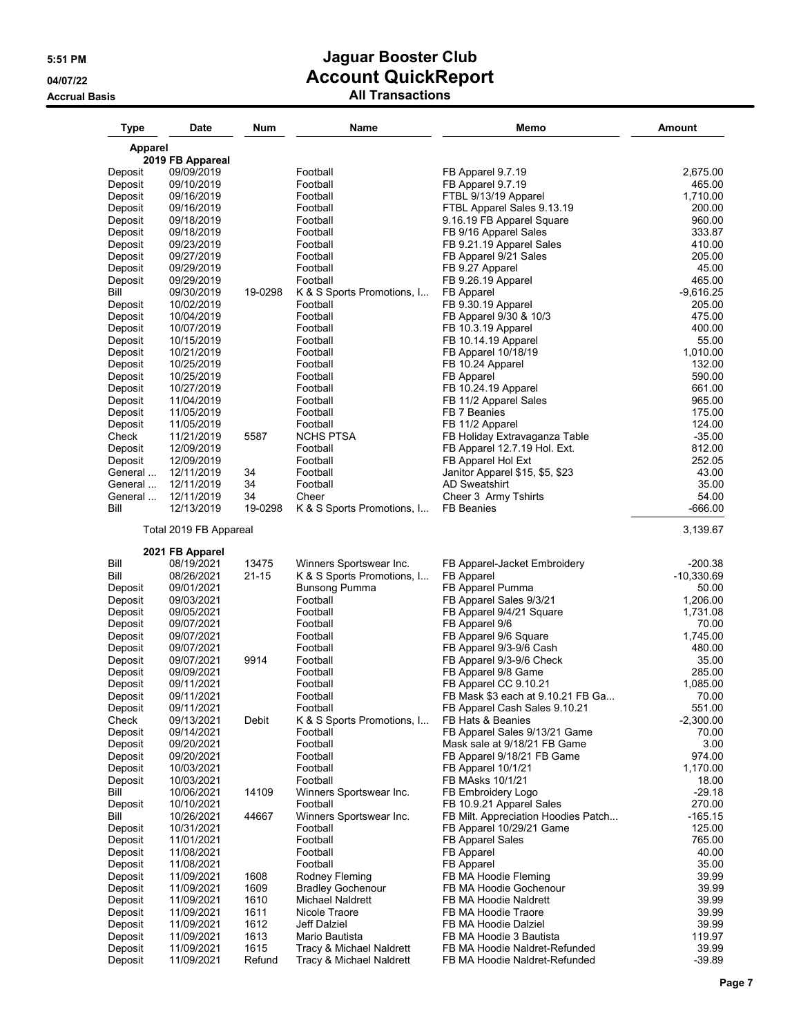| <b>Type</b>        | Date                     | Num                | Name                                                  | Memo                                                       | <b>Amount</b>             |
|--------------------|--------------------------|--------------------|-------------------------------------------------------|------------------------------------------------------------|---------------------------|
| <b>Apparel</b>     |                          |                    |                                                       |                                                            |                           |
|                    | 2019 FB Appareal         |                    |                                                       |                                                            |                           |
| Deposit<br>Deposit | 09/09/2019<br>09/10/2019 |                    | Football<br>Football                                  | FB Apparel 9.7.19<br>FB Apparel 9.7.19                     | 2,675.00<br>465.00        |
| Deposit            | 09/16/2019               |                    | Football                                              | FTBL 9/13/19 Apparel                                       | 1,710.00                  |
| Deposit            | 09/16/2019               |                    | Football                                              | FTBL Apparel Sales 9.13.19                                 | 200.00                    |
| Deposit            | 09/18/2019               |                    | Football                                              | 9.16.19 FB Apparel Square                                  | 960.00                    |
| Deposit            | 09/18/2019               |                    | Football                                              | FB 9/16 Apparel Sales                                      | 333.87                    |
| Deposit            | 09/23/2019               |                    | Football                                              | FB 9.21.19 Apparel Sales                                   | 410.00<br>205.00          |
| Deposit<br>Deposit | 09/27/2019<br>09/29/2019 |                    | Football<br>Football                                  | FB Apparel 9/21 Sales<br>FB 9.27 Apparel                   | 45.00                     |
| Deposit            | 09/29/2019               |                    | Football                                              | FB 9.26.19 Apparel                                         | 465.00                    |
| Bill               | 09/30/2019               | 19-0298            | K & S Sports Promotions, I                            | FB Apparel                                                 | $-9,616.25$               |
| Deposit            | 10/02/2019               |                    | Football                                              | FB 9.30.19 Apparel                                         | 205.00                    |
| Deposit            | 10/04/2019               |                    | Football                                              | FB Apparel 9/30 & 10/3                                     | 475.00                    |
| Deposit<br>Deposit | 10/07/2019<br>10/15/2019 |                    | Football<br>Football                                  | FB 10.3.19 Apparel<br>FB 10.14.19 Apparel                  | 400.00<br>55.00           |
| Deposit            | 10/21/2019               |                    | Football                                              | FB Apparel 10/18/19                                        | 1,010.00                  |
| Deposit            | 10/25/2019               |                    | Football                                              | FB 10.24 Apparel                                           | 132.00                    |
| Deposit            | 10/25/2019               |                    | Football                                              | FB Apparel                                                 | 590.00                    |
| Deposit            | 10/27/2019               |                    | Football                                              | FB 10.24.19 Apparel                                        | 661.00                    |
| Deposit            | 11/04/2019               |                    | Football                                              | FB 11/2 Apparel Sales                                      | 965.00                    |
| Deposit            | 11/05/2019               |                    | Football                                              | FB 7 Beanies                                               | 175.00                    |
| Deposit<br>Check   | 11/05/2019<br>11/21/2019 | 5587               | Football<br>NCHS PTSA                                 | FB 11/2 Apparel<br>FB Holiday Extravaganza Table           | 124.00<br>$-35.00$        |
| Deposit            | 12/09/2019               |                    | Football                                              | FB Apparel 12.7.19 Hol. Ext.                               | 812.00                    |
| Deposit            | 12/09/2019               |                    | Football                                              | FB Apparel Hol Ext                                         | 252.05                    |
| General            | 12/11/2019               | 34                 | Football                                              | Janitor Apparel \$15, \$5, \$23                            | 43.00                     |
| General            | 12/11/2019               | 34                 | Football                                              | <b>AD Sweatshirt</b>                                       | 35.00                     |
| General            | 12/11/2019               | 34                 | Cheer                                                 | Cheer 3 Army Tshirts                                       | 54.00                     |
| Bill               | 12/13/2019               | 19-0298            | K & S Sports Promotions, I                            | <b>FB Beanies</b>                                          | $-666.00$                 |
|                    | Total 2019 FB Appareal   |                    |                                                       |                                                            | 3,139.67                  |
|                    | 2021 FB Apparel          |                    |                                                       |                                                            |                           |
| Bill<br>Bill       | 08/19/2021<br>08/26/2021 | 13475<br>$21 - 15$ | Winners Sportswear Inc.<br>K & S Sports Promotions, I | FB Apparel-Jacket Embroidery                               | $-200.38$<br>$-10,330.69$ |
| Deposit            | 09/01/2021               |                    | Bunsong Pumma                                         | FB Apparel<br>FB Apparel Pumma                             | 50.00                     |
| Deposit            | 09/03/2021               |                    | Football                                              | FB Apparel Sales 9/3/21                                    | 1,206.00                  |
| Deposit            | 09/05/2021               |                    | Football                                              | FB Apparel 9/4/21 Square                                   | 1,731.08                  |
| Deposit            | 09/07/2021               |                    | Football                                              | FB Apparel 9/6                                             | 70.00                     |
| Deposit            | 09/07/2021               |                    | Football                                              | FB Apparel 9/6 Square                                      | 1,745.00                  |
| Deposit            | 09/07/2021<br>09/07/2021 | 9914               | Football<br>Football                                  | FB Apparel 9/3-9/6 Cash<br>FB Apparel 9/3-9/6 Check        | 480.00<br>35.00           |
| Deposit<br>Deposit | 09/09/2021               |                    | Football                                              | FB Apparel 9/8 Game                                        | 285.00                    |
| Deposit            | 09/11/2021               |                    | Football                                              | FB Apparel CC 9.10.21                                      | 1,085.00                  |
| Deposit            | 09/11/2021               |                    | Football                                              | FB Mask \$3 each at 9.10.21 FB Ga                          | 70.00                     |
| Deposit            | 09/11/2021               |                    | Football                                              | FB Apparel Cash Sales 9.10.21                              | 551.00                    |
| Check              | 09/13/2021               | Debit              | K & S Sports Promotions, I                            | FB Hats & Beanies                                          | $-2,300.00$               |
| Deposit            | 09/14/2021               |                    | Football                                              | FB Apparel Sales 9/13/21 Game                              | 70.00                     |
| Deposit<br>Deposit | 09/20/2021<br>09/20/2021 |                    | Football<br>Football                                  | Mask sale at 9/18/21 FB Game<br>FB Apparel 9/18/21 FB Game | 3.00<br>974.00            |
| Deposit            | 10/03/2021               |                    | Football                                              | FB Apparel 10/1/21                                         | 1,170.00                  |
| Deposit            | 10/03/2021               |                    | Football                                              | FB MAsks 10/1/21                                           | 18.00                     |
| Bill               | 10/06/2021               | 14109              | Winners Sportswear Inc.                               | FB Embroidery Logo                                         | $-29.18$                  |
| Deposit            | 10/10/2021               |                    | Football                                              | FB 10.9.21 Apparel Sales                                   | 270.00                    |
| Bill               | 10/26/2021               | 44667              | Winners Sportswear Inc.                               | FB Milt. Appreciation Hoodies Patch                        | $-165.15$                 |
| Deposit<br>Deposit | 10/31/2021<br>11/01/2021 |                    | Football<br>Football                                  | FB Apparel 10/29/21 Game<br><b>FB Apparel Sales</b>        | 125.00<br>765.00          |
| Deposit            | 11/08/2021               |                    | Football                                              | FB Apparel                                                 | 40.00                     |
| Deposit            | 11/08/2021               |                    | Football                                              | FB Apparel                                                 | 35.00                     |
| Deposit            | 11/09/2021               | 1608               | Rodney Fleming                                        | FB MA Hoodie Fleming                                       | 39.99                     |
| Deposit            | 11/09/2021               | 1609               | <b>Bradley Gochenour</b>                              | FB MA Hoodie Gochenour                                     | 39.99                     |
| Deposit            | 11/09/2021               | 1610               | Michael Naldrett                                      | FB MA Hoodie Naldrett                                      | 39.99                     |
| Deposit            | 11/09/2021               | 1611               | Nicole Traore                                         | FB MA Hoodie Traore                                        | 39.99                     |
| Deposit<br>Deposit | 11/09/2021<br>11/09/2021 | 1612<br>1613       | Jeff Dalziel<br>Mario Bautista                        | FB MA Hoodie Dalziel<br>FB MA Hoodie 3 Bautista            | 39.99<br>119.97           |
| Deposit            | 11/09/2021               | 1615               | Tracy & Michael Naldrett                              | FB MA Hoodie Naldret-Refunded                              | 39.99                     |
| Deposit            | 11/09/2021               | Refund             | Tracy & Michael Naldrett                              | FB MA Hoodie Naldret-Refunded                              | $-39.89$                  |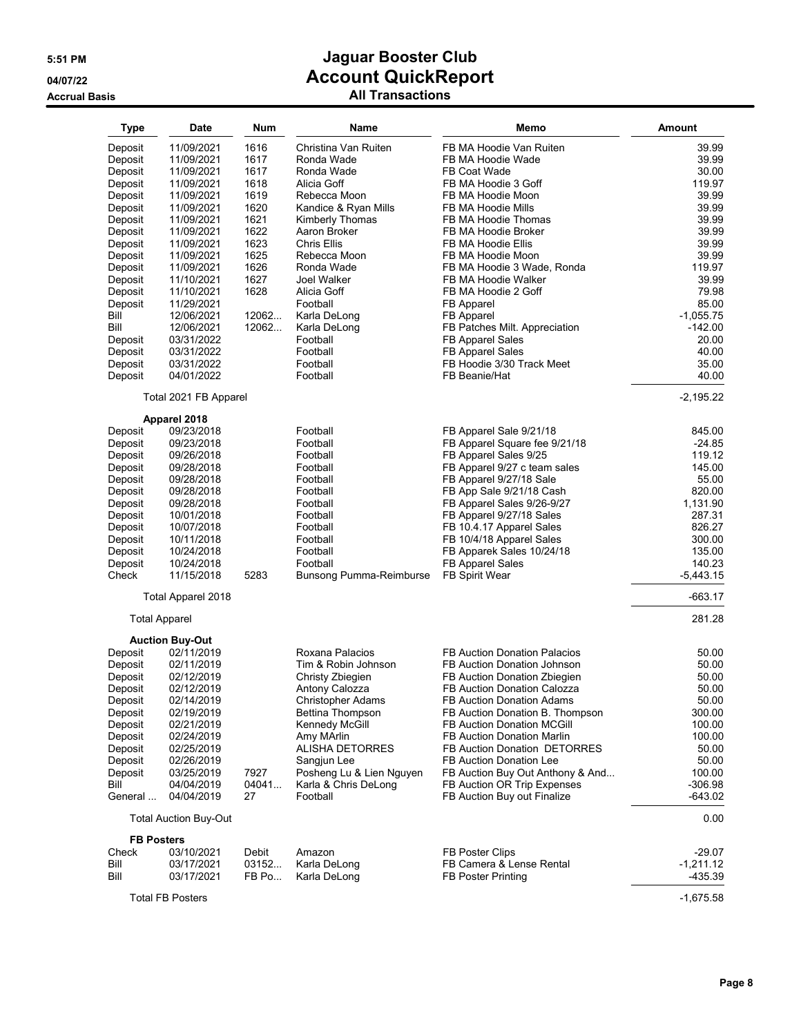| <b>Type</b>       | <b>Date</b>                          | <b>Num</b> | Name                     | Memo                                | Amount      |
|-------------------|--------------------------------------|------------|--------------------------|-------------------------------------|-------------|
| Deposit           | 11/09/2021                           | 1616       | Christina Van Ruiten     | FB MA Hoodie Van Ruiten             | 39.99       |
| Deposit           | 11/09/2021                           | 1617       | Ronda Wade               | FB MA Hoodie Wade                   | 39.99       |
|                   | 11/09/2021                           | 1617       | Ronda Wade               | FB Coat Wade                        | 30.00       |
| Deposit           |                                      |            |                          |                                     |             |
| Deposit           | 11/09/2021                           | 1618       | Alicia Goff              | FB MA Hoodie 3 Goff                 | 119.97      |
| Deposit           | 11/09/2021                           | 1619       | Rebecca Moon             | FB MA Hoodie Moon                   | 39.99       |
| Deposit           | 11/09/2021                           | 1620       | Kandice & Ryan Mills     | FB MA Hoodie Mills                  | 39.99       |
| Deposit           | 11/09/2021                           | 1621       | Kimberly Thomas          | FB MA Hoodie Thomas                 | 39.99       |
| Deposit           | 11/09/2021                           | 1622       | Aaron Broker             | FB MA Hoodie Broker                 | 39.99       |
| Deposit           | 11/09/2021                           | 1623       | <b>Chris Ellis</b>       | FB MA Hoodie Ellis                  | 39.99       |
| Deposit           | 11/09/2021                           | 1625       | Rebecca Moon             | FB MA Hoodie Moon                   | 39.99       |
| Deposit           | 11/09/2021                           | 1626       | Ronda Wade               | FB MA Hoodie 3 Wade, Ronda          | 119.97      |
| Deposit           | 11/10/2021                           | 1627       | Joel Walker              | FB MA Hoodie Walker                 | 39.99       |
| Deposit           | 11/10/2021                           | 1628       | Alicia Goff              | FB MA Hoodie 2 Goff                 | 79.98       |
| Deposit           | 11/29/2021                           |            | Football                 | FB Apparel                          | 85.00       |
| Bill              | 12/06/2021                           | 12062      | Karla DeLong             | FB Apparel                          | $-1,055.75$ |
| Bill              | 12/06/2021                           | 12062      | Karla DeLong             | FB Patches Milt. Appreciation       | $-142.00$   |
| Deposit           | 03/31/2022                           |            | Football                 | FB Apparel Sales                    | 20.00       |
| Deposit           | 03/31/2022                           |            | Football                 | <b>FB Apparel Sales</b>             | 40.00       |
| Deposit           | 03/31/2022                           |            | Football                 | FB Hoodie 3/30 Track Meet           | 35.00       |
| Deposit           | 04/01/2022                           |            | Football                 | FB Beanie/Hat                       | 40.00       |
|                   |                                      |            |                          |                                     |             |
|                   | Total 2021 FB Apparel                |            |                          |                                     | $-2,195.22$ |
|                   | Apparel 2018                         |            |                          |                                     |             |
| Deposit           | 09/23/2018                           |            | Football                 | FB Apparel Sale 9/21/18             | 845.00      |
| Deposit           | 09/23/2018                           |            | Football                 | FB Apparel Square fee 9/21/18       | $-24.85$    |
| Deposit           | 09/26/2018                           |            | Football                 | FB Apparel Sales 9/25               | 119.12      |
| Deposit           | 09/28/2018                           |            | Football                 | FB Apparel 9/27 c team sales        | 145.00      |
| Deposit           | 09/28/2018                           |            | Football                 | FB Apparel 9/27/18 Sale             | 55.00       |
| Deposit           | 09/28/2018                           |            | Football                 | FB App Sale 9/21/18 Cash            | 820.00      |
| Deposit           | 09/28/2018                           |            | Football                 | FB Apparel Sales 9/26-9/27          | 1,131.90    |
| Deposit           | 10/01/2018                           |            | Football                 | FB Apparel 9/27/18 Sales            | 287.31      |
| Deposit           | 10/07/2018                           |            | Football                 | FB 10.4.17 Apparel Sales            | 826.27      |
| Deposit           | 10/11/2018                           |            | Football                 | FB 10/4/18 Apparel Sales            | 300.00      |
| Deposit           | 10/24/2018                           |            | Football                 | FB Apparek Sales 10/24/18           | 135.00      |
| Deposit           | 10/24/2018                           |            | Football                 | FB Apparel Sales                    | 140.23      |
| Check             | 11/15/2018                           | 5283       | Bunsong Pumma-Reimburse  | FB Spirit Wear                      | $-5,443.15$ |
|                   | Total Apparel 2018                   |            |                          |                                     | $-663.17$   |
|                   |                                      |            |                          |                                     | 281.28      |
|                   | <b>Total Apparel</b>                 |            |                          |                                     |             |
| Deposit           | <b>Auction Buy-Out</b><br>02/11/2019 |            | Roxana Palacios          | <b>FB Auction Donation Palacios</b> | 50.00       |
| Deposit           | 02/11/2019                           |            | Tim & Robin Johnson      | FB Auction Donation Johnson         | 50.00       |
|                   |                                      |            |                          |                                     |             |
| Deposit           | 02/12/2019                           |            | Christy Zbiegien         | FB Auction Donation Zbiegien        | 50.00       |
| Deposit           | 02/12/2019                           |            | Antony Calozza           | FB Auction Donation Calozza         | 50.00       |
| Deposit           | 02/14/2019                           |            | Christopher Adams        | FB Auction Donation Adams           | 50.00       |
| Deposit           | 02/19/2019                           |            | Bettina Thompson         | FB Auction Donation B. Thompson     | 300.00      |
| Deposit           | 02/21/2019                           |            | Kennedy McGill           | <b>FB Auction Donation MCGill</b>   | 100.00      |
| Deposit           | 02/24/2019                           |            | Amy MArlin               | FB Auction Donation Marlin          | 100.00      |
| Deposit           | 02/25/2019                           |            | <b>ALISHA DETORRES</b>   | FB Auction Donation DETORRES        | 50.00       |
| Deposit           | 02/26/2019                           |            | Sangjun Lee              | FB Auction Donation Lee             | 50.00       |
| Deposit           | 03/25/2019                           | 7927       | Posheng Lu & Lien Nguyen | FB Auction Buy Out Anthony & And    | 100.00      |
| Bill              | 04/04/2019                           | 04041      | Karla & Chris DeLong     | FB Auction OR Trip Expenses         | $-306.98$   |
| General           | 04/04/2019                           | 27         | Football                 | FB Auction Buy out Finalize         | -643.02     |
|                   | <b>Total Auction Buy-Out</b>         |            |                          |                                     | 0.00        |
| <b>FB Posters</b> |                                      |            |                          |                                     |             |
| Check             | 03/10/2021                           | Debit      | Amazon                   | FB Poster Clips                     | $-29.07$    |
| Bill              | 03/17/2021                           | 03152      | Karla DeLong             | FB Camera & Lense Rental            | $-1,211.12$ |
| Bill              | 03/17/2021                           | FB Po      | Karla DeLong             | <b>FB Poster Printing</b>           | -435.39     |
|                   | <b>Total FB Posters</b>              |            |                          |                                     | $-1,675.58$ |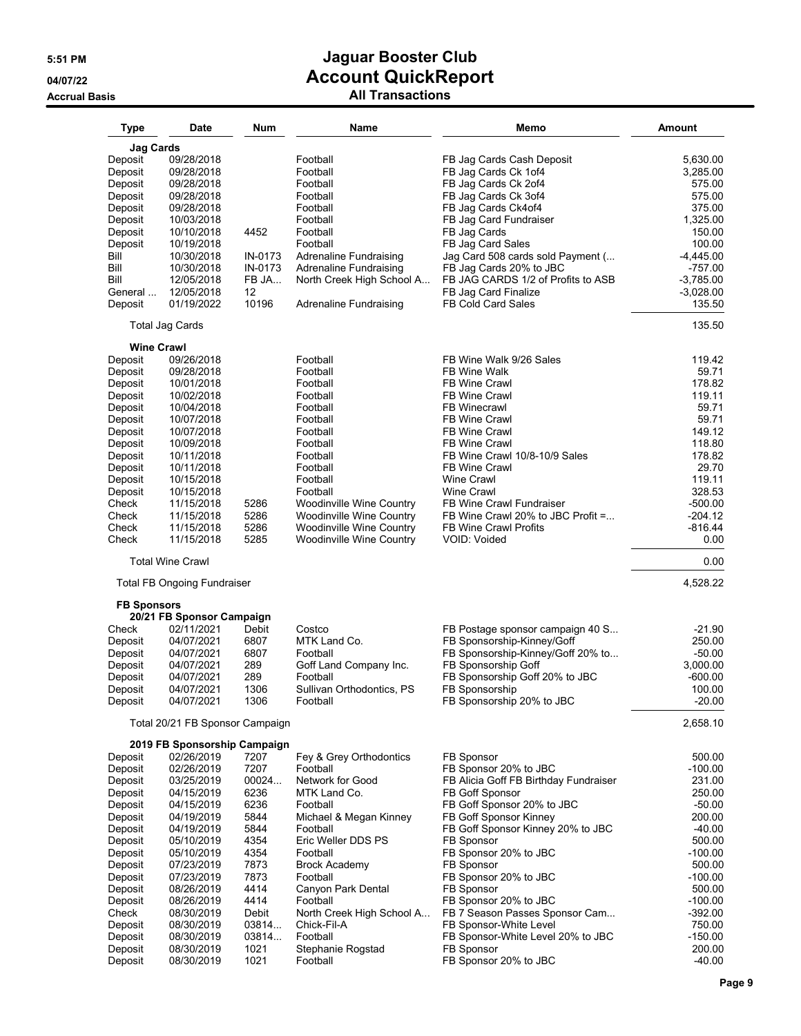| <b>Type</b>        | Date                               | Num         | Name                            | Memo                                  | Amount      |
|--------------------|------------------------------------|-------------|---------------------------------|---------------------------------------|-------------|
| <b>Jag Cards</b>   |                                    |             |                                 |                                       |             |
| Deposit            | 09/28/2018                         |             | Football                        | FB Jag Cards Cash Deposit             | 5,630.00    |
|                    |                                    |             | Football                        | FB Jag Cards Ck 1of4                  |             |
| Deposit            | 09/28/2018                         |             |                                 |                                       | 3,285.00    |
| Deposit            | 09/28/2018                         |             | Football                        | FB Jag Cards Ck 2of4                  | 575.00      |
| Deposit            | 09/28/2018                         |             | Football                        | FB Jag Cards Ck 3of4                  | 575.00      |
| Deposit            | 09/28/2018                         |             | Football                        | FB Jag Cards Ck4of4                   | 375.00      |
| Deposit            | 10/03/2018                         |             | Football                        | FB Jag Card Fundraiser                | 1,325.00    |
| Deposit            | 10/10/2018                         | 4452        | Football                        | FB Jag Cards                          | 150.00      |
| Deposit            | 10/19/2018                         |             | Football                        | FB Jag Card Sales                     | 100.00      |
| Bill               | 10/30/2018                         | IN-0173     | Adrenaline Fundraising          | Jag Card 508 cards sold Payment (     | $-4,445.00$ |
|                    |                                    |             |                                 |                                       |             |
| Bill               | 10/30/2018                         | IN-0173     | <b>Adrenaline Fundraising</b>   | FB Jag Cards 20% to JBC               | $-757.00$   |
| Bill               | 12/05/2018                         | FB JA       | North Creek High School A       | FB JAG CARDS 1/2 of Profits to ASB    | $-3,785.00$ |
| General            | 12/05/2018                         | 12<br>10196 |                                 | FB Jag Card Finalize                  | $-3,028.00$ |
| Deposit            | 01/19/2022                         |             | <b>Adrenaline Fundraising</b>   | <b>FB Cold Card Sales</b>             | 135.50      |
|                    | <b>Total Jag Cards</b>             |             |                                 |                                       | 135.50      |
| Deposit            | <b>Wine Crawl</b><br>09/26/2018    |             | Football                        | FB Wine Walk 9/26 Sales               | 119.42      |
| Deposit            | 09/28/2018                         |             | Football                        | FB Wine Walk                          | 59.71       |
| Deposit            | 10/01/2018                         |             | Football                        | <b>FB Wine Crawl</b>                  | 178.82      |
| Deposit            | 10/02/2018                         |             | Football                        | <b>FB Wine Crawl</b>                  | 119.11      |
| Deposit            | 10/04/2018                         |             | Football                        | <b>FB Winecrawl</b>                   | 59.71       |
|                    |                                    |             | Football                        | <b>FB Wine Crawl</b>                  | 59.71       |
| Deposit            | 10/07/2018                         |             |                                 |                                       |             |
| Deposit            | 10/07/2018                         |             | Football                        | <b>FB Wine Crawl</b>                  | 149.12      |
| Deposit            | 10/09/2018                         |             | Football                        | <b>FB Wine Crawl</b>                  | 118.80      |
| Deposit            | 10/11/2018                         |             | Football                        | FB Wine Crawl 10/8-10/9 Sales         | 178.82      |
| Deposit            | 10/11/2018                         |             | Football                        | FB Wine Crawl                         | 29.70       |
| Deposit            | 10/15/2018                         |             | Football                        | Wine Crawl                            | 119.11      |
| Deposit            | 10/15/2018                         |             | Football                        | <b>Wine Crawl</b>                     | 328.53      |
| Check              | 11/15/2018                         | 5286        | <b>Woodinville Wine Country</b> | FB Wine Crawl Fundraiser              | $-500.00$   |
| Check              | 11/15/2018                         | 5286        | <b>Woodinville Wine Country</b> | FB Wine Crawl 20% to JBC Profit =     | $-204.12$   |
| Check              | 11/15/2018                         | 5286        | <b>Woodinville Wine Country</b> | FB Wine Crawl Profits                 | $-816.44$   |
| Check              | 11/15/2018                         | 5285        | Woodinville Wine Country        | VOID: Voided                          | 0.00        |
|                    | <b>Total Wine Crawl</b>            |             |                                 |                                       | 0.00        |
|                    | <b>Total FB Ongoing Fundraiser</b> |             |                                 |                                       | 4,528.22    |
| <b>FB Sponsors</b> |                                    |             |                                 |                                       |             |
|                    | 20/21 FB Sponsor Campaign          |             |                                 |                                       |             |
| Check              | 02/11/2021                         | Debit       | Costco                          | FB Postage sponsor campaign 40 S      | $-21.90$    |
| Deposit            | 04/07/2021                         | 6807        | MTK Land Co.                    | FB Sponsorship-Kinney/Goff            | 250.00      |
| Deposit            | 04/07/2021                         | 6807        | Football                        | FB Sponsorship-Kinney/Goff 20% to     | $-50.00$    |
| Deposit            | 04/07/2021                         | 289         | Goff Land Company Inc.          | FB Sponsorship Goff                   | 3,000.00    |
| Deposit            | 04/07/2021                         | 289         | Football                        | FB Sponsorship Goff 20% to JBC        | $-600.00$   |
| Deposit            | 04/07/2021                         | 1306        | Sullivan Orthodontics, PS       | FB Sponsorship                        | 100.00      |
| Deposit            | 04/07/2021                         | 1306        | Football                        | FB Sponsorship 20% to JBC             | -20.00      |
|                    | Total 20/21 FB Sponsor Campaign    |             |                                 |                                       | 2,658.10    |
|                    | 2019 FB Sponsorship Campaign       |             |                                 |                                       |             |
| Deposit            | 02/26/2019                         | 7207        | Fey & Grey Orthodontics         | FB Sponsor                            | 500.00      |
| Deposit            | 02/26/2019                         | 7207        | Football                        | FB Sponsor 20% to JBC                 | $-100.00$   |
| Deposit            | 03/25/2019                         | 00024       | Network for Good                | FB Alicia Goff FB Birthday Fundraiser | 231.00      |
| Deposit            | 04/15/2019                         | 6236        | MTK Land Co.                    | FB Goff Sponsor                       | 250.00      |
| Deposit            | 04/15/2019                         | 6236        | Football                        | FB Goff Sponsor 20% to JBC            | $-50.00$    |
| Deposit            | 04/19/2019                         | 5844        | Michael & Megan Kinney          | FB Goff Sponsor Kinney                | 200.00      |
| Deposit            | 04/19/2019                         | 5844        | Football                        | FB Goff Sponsor Kinney 20% to JBC     | $-40.00$    |
| Deposit            | 05/10/2019                         | 4354        | Eric Weller DDS PS              | FB Sponsor                            | 500.00      |
| Deposit            | 05/10/2019                         | 4354        | Football                        | FB Sponsor 20% to JBC                 | $-100.00$   |
| Deposit            | 07/23/2019                         | 7873        | <b>Brock Academy</b>            | FB Sponsor                            | 500.00      |
| Deposit            | 07/23/2019                         | 7873        | Football                        | FB Sponsor 20% to JBC                 | $-100.00$   |
| Deposit            | 08/26/2019                         | 4414        | Canyon Park Dental              | FB Sponsor                            | 500.00      |
| Deposit            | 08/26/2019                         | 4414        | Football                        | FB Sponsor 20% to JBC                 | $-100.00$   |
| Check              | 08/30/2019                         | Debit       |                                 | FB 7 Season Passes Sponsor Cam        | $-392.00$   |
|                    |                                    |             | North Creek High School A       |                                       |             |
| Deposit            | 08/30/2019                         | 03814       | Chick-Fil-A                     | FB Sponsor-White Level                | 750.00      |
| Deposit            | 08/30/2019                         | 03814       | Football                        | FB Sponsor-White Level 20% to JBC     | $-150.00$   |
| Deposit            | 08/30/2019                         | 1021        | Stephanie Rogstad               | FB Sponsor                            | 200.00      |
| Deposit            | 08/30/2019                         | 1021        | Football                        | FB Sponsor 20% to JBC                 | $-40.00$    |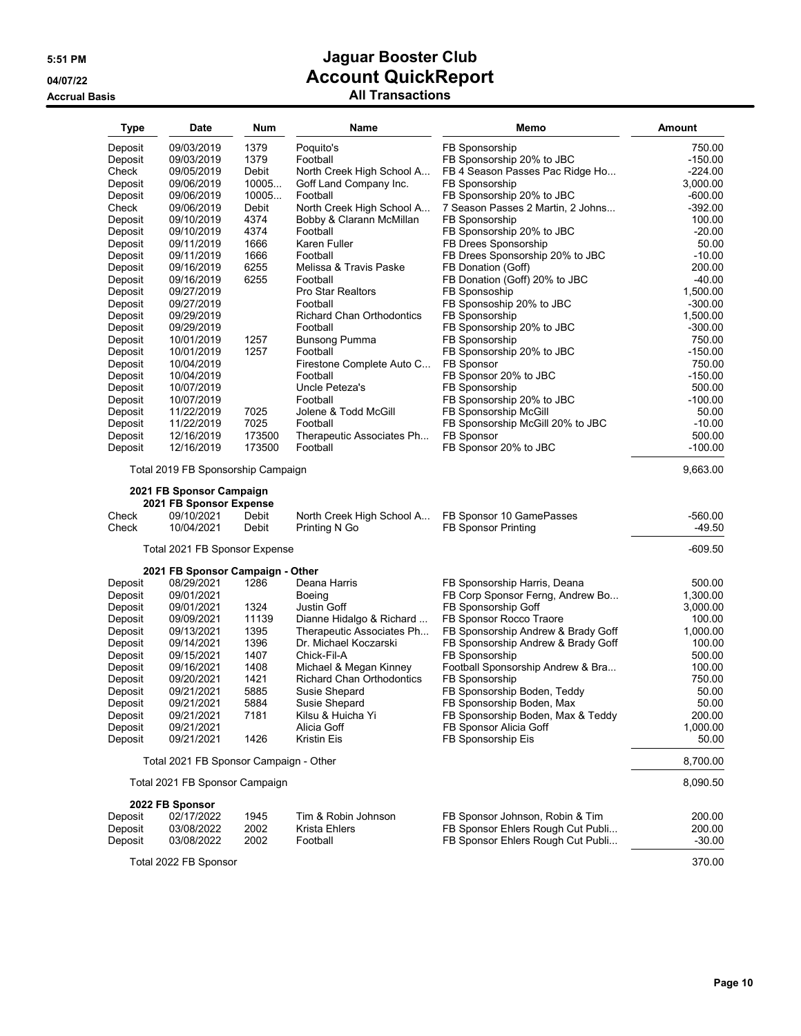**Accrual Basis** 

# **5:51 PM Jaguar Booster Club 04/07/22 Account QuickReport**

| <b>Type</b> | Date                                                              | Num    | Name                             | Memo                               | <b>Amount</b> |
|-------------|-------------------------------------------------------------------|--------|----------------------------------|------------------------------------|---------------|
| Deposit     | 09/03/2019                                                        | 1379   | Poquito's                        | FB Sponsorship                     | 750.00        |
| Deposit     | 09/03/2019                                                        | 1379   | Football                         | FB Sponsorship 20% to JBC          | $-150.00$     |
| Check       | 09/05/2019                                                        | Debit  | North Creek High School A        | FB 4 Season Passes Pac Ridge Ho    | $-224.00$     |
| Deposit     | 09/06/2019                                                        | 10005  | Goff Land Company Inc.           | FB Sponsorship                     | 3,000.00      |
| Deposit     | 09/06/2019                                                        | 10005  | Football                         | FB Sponsorship 20% to JBC          | $-600.00$     |
| Check       | 09/06/2019                                                        | Debit  | North Creek High School A        | 7 Season Passes 2 Martin, 2 Johns  | $-392.00$     |
| Deposit     | 09/10/2019                                                        | 4374   | Bobby & Clarann McMillan         | FB Sponsorship                     | 100.00        |
| Deposit     | 09/10/2019                                                        | 4374   | Football                         | FB Sponsorship 20% to JBC          | $-20.00$      |
| Deposit     | 09/11/2019                                                        | 1666   | Karen Fuller                     | FB Drees Sponsorship               | 50.00         |
| Deposit     | 09/11/2019                                                        | 1666   | Football                         | FB Drees Sponsorship 20% to JBC    | $-10.00$      |
| Deposit     | 09/16/2019                                                        | 6255   | Melissa & Travis Paske           | FB Donation (Goff)                 | 200.00        |
| Deposit     | 09/16/2019                                                        | 6255   | Football                         | FB Donation (Goff) 20% to JBC      | $-40.00$      |
| Deposit     | 09/27/2019                                                        |        | Pro Star Realtors                | FB Sponsoship                      | 1,500.00      |
| Deposit     | 09/27/2019                                                        |        | Football                         | FB Sponsoship 20% to JBC           | $-300.00$     |
| Deposit     | 09/29/2019                                                        |        | <b>Richard Chan Orthodontics</b> | FB Sponsorship                     | 1,500.00      |
| Deposit     | 09/29/2019                                                        |        | Football                         | FB Sponsorship 20% to JBC          | $-300.00$     |
| Deposit     | 10/01/2019                                                        | 1257   | Bunsong Pumma                    | FB Sponsorship                     | 750.00        |
| Deposit     | 10/01/2019                                                        | 1257   | Football                         | FB Sponsorship 20% to JBC          | $-150.00$     |
| Deposit     | 10/04/2019                                                        |        | Firestone Complete Auto C        | FB Sponsor                         | 750.00        |
| Deposit     | 10/04/2019                                                        |        | Football                         | FB Sponsor 20% to JBC              | $-150.00$     |
| Deposit     | 10/07/2019                                                        |        | Uncle Peteza's                   | FB Sponsorship                     | 500.00        |
| Deposit     | 10/07/2019                                                        |        | Football                         | FB Sponsorship 20% to JBC          | $-100.00$     |
| Deposit     | 11/22/2019                                                        | 7025   | Jolene & Todd McGill             | FB Sponsorship McGill              | 50.00         |
| Deposit     | 11/22/2019                                                        | 7025   | Football                         | FB Sponsorship McGill 20% to JBC   | $-10.00$      |
| Deposit     | 12/16/2019                                                        | 173500 | Therapeutic Associates Ph        | FB Sponsor                         | 500.00        |
| Deposit     | 12/16/2019                                                        | 173500 | Football                         | FB Sponsor 20% to JBC              | $-100.00$     |
| Check       | 2021 FB Sponsor Campaign<br>2021 FB Sponsor Expense<br>09/10/2021 | Debit  | North Creek High School A        | FB Sponsor 10 GamePasses           | $-560.00$     |
| Check       | 10/04/2021                                                        | Debit  | Printing N Go                    | <b>FB Sponsor Printing</b>         | $-49.50$      |
|             | Total 2021 FB Sponsor Expense                                     |        |                                  |                                    | -609.50       |
|             | 2021 FB Sponsor Campaign - Other                                  |        |                                  |                                    |               |
| Deposit     | 08/29/2021                                                        | 1286   | Deana Harris                     | FB Sponsorship Harris, Deana       | 500.00        |
| Deposit     | 09/01/2021                                                        |        | Boeing                           | FB Corp Sponsor Ferng, Andrew Bo   | 1,300.00      |
| Deposit     | 09/01/2021                                                        | 1324   | Justin Goff                      | FB Sponsorship Goff                | 3,000.00      |
| Deposit     | 09/09/2021                                                        | 11139  | Dianne Hidalgo & Richard         | FB Sponsor Rocco Traore            | 100.00        |
| Deposit     | 09/13/2021                                                        | 1395   | Therapeutic Associates Ph        | FB Sponsorship Andrew & Brady Goff | 1,000.00      |
| Deposit     | 09/14/2021                                                        | 1396   | Dr. Michael Koczarski            | FB Sponsorship Andrew & Brady Goff | 100.00        |
| Deposit     | 09/15/2021                                                        | 1407   | Chick-Fil-A                      | FB Sponsorship                     | 500.00        |
| Deposit     | 09/16/2021                                                        | 1408   | Michael & Megan Kinney           | Football Sponsorship Andrew & Bra  | 100.00        |
| Deposit     | 09/20/2021                                                        | 1421   | <b>Richard Chan Orthodontics</b> | FB Sponsorship                     | 750.00        |
| Deposit     | 09/21/2021                                                        | 5885   | Susie Shepard                    | FB Sponsorship Boden, Teddy        | 50.00         |
| Deposit     | 09/21/2021                                                        | 5884   | Susie Shepard                    | FB Sponsorship Boden, Max          | 50.00         |
| Deposit     | 09/21/2021                                                        | 7181   | Kilsu & Huicha Yi                | FB Sponsorship Boden, Max & Teddy  | 200.00        |
| Deposit     | 09/21/2021                                                        |        | Alicia Goff                      | FB Sponsor Alicia Goff             | 1,000.00      |
| Deposit     | 09/21/2021                                                        | 1426   | Kristin Eis                      | FB Sponsorship Eis                 | 50.00         |
|             | Total 2021 FB Sponsor Campaign - Other                            |        |                                  |                                    | 8,700.00      |
|             | Total 2021 FB Sponsor Campaign                                    |        |                                  |                                    | 8,090.50      |
|             | 2022 FB Sponsor                                                   |        |                                  |                                    |               |
| Deposit     | 02/17/2022                                                        | 1945   | Tim & Robin Johnson              | FB Sponsor Johnson, Robin & Tim    | 200.00        |
| Deposit     | 03/08/2022                                                        | 2002   | Krista Ehlers                    | FB Sponsor Ehlers Rough Cut Publi  | 200.00        |
| Deposit     | 03/08/2022                                                        | 2002   | Football                         | FB Sponsor Ehlers Rough Cut Publi  | $-30.00$      |
|             | Total 2022 FB Sponsor                                             |        |                                  |                                    | 370.00        |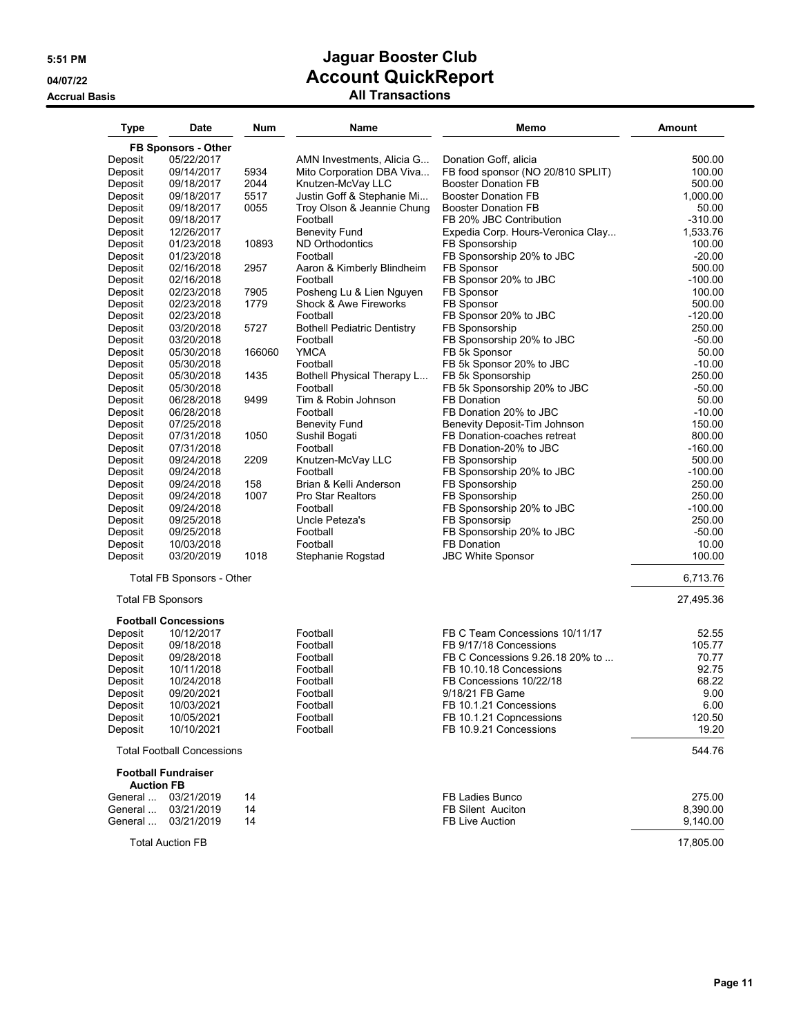| Type                     | <b>Date</b>                       | <b>Num</b> | Name                               | Memo                                                         | <b>Amount</b>         |
|--------------------------|-----------------------------------|------------|------------------------------------|--------------------------------------------------------------|-----------------------|
|                          | FB Sponsors - Other               |            |                                    |                                                              |                       |
| Deposit                  | 05/22/2017                        |            | AMN Investments, Alicia G          | Donation Goff, alicia                                        | 500.00                |
| Deposit                  | 09/14/2017                        | 5934       | Mito Corporation DBA Viva          | FB food sponsor (NO 20/810 SPLIT)                            | 100.00                |
| Deposit                  | 09/18/2017                        | 2044       | Knutzen-McVay LLC                  | <b>Booster Donation FB</b>                                   | 500.00                |
| Deposit                  | 09/18/2017                        | 5517       | Justin Goff & Stephanie Mi         | <b>Booster Donation FB</b>                                   | 1,000.00              |
| Deposit                  | 09/18/2017                        | 0055       | Troy Olson & Jeannie Chung         | <b>Booster Donation FB</b>                                   | 50.00                 |
| Deposit<br>Deposit       | 09/18/2017<br>12/26/2017          |            | Football<br><b>Benevity Fund</b>   | FB 20% JBC Contribution<br>Expedia Corp. Hours-Veronica Clay | $-310.00$<br>1,533.76 |
| Deposit                  | 01/23/2018                        | 10893      | <b>ND Orthodontics</b>             | FB Sponsorship                                               | 100.00                |
| Deposit                  | 01/23/2018                        |            | Football                           | FB Sponsorship 20% to JBC                                    | $-20.00$              |
| Deposit                  | 02/16/2018                        | 2957       | Aaron & Kimberly Blindheim         | FB Sponsor                                                   | 500.00                |
| Deposit                  | 02/16/2018                        |            | Football                           | FB Sponsor 20% to JBC                                        | $-100.00$             |
| Deposit                  | 02/23/2018                        | 7905       | Posheng Lu & Lien Nguyen           | FB Sponsor                                                   | 100.00                |
| Deposit                  | 02/23/2018                        | 1779       | Shock & Awe Fireworks              | FB Sponsor                                                   | 500.00                |
| Deposit                  | 02/23/2018                        |            | Football                           | FB Sponsor 20% to JBC                                        | $-120.00$             |
| Deposit                  | 03/20/2018                        | 5727       | <b>Bothell Pediatric Dentistry</b> | FB Sponsorship                                               | 250.00                |
| Deposit                  | 03/20/2018                        |            | Football                           | FB Sponsorship 20% to JBC                                    | $-50.00$              |
| Deposit                  | 05/30/2018                        | 166060     | <b>YMCA</b>                        | FB 5k Sponsor                                                | 50.00                 |
| Deposit                  | 05/30/2018                        |            | Football                           | FB 5k Sponsor 20% to JBC                                     | $-10.00$              |
| Deposit                  | 05/30/2018                        | 1435       | Bothell Physical Therapy L         | FB 5k Sponsorship                                            | 250.00                |
| Deposit                  | 05/30/2018                        | 9499       | Football<br>Tim & Robin Johnson    | FB 5k Sponsorship 20% to JBC<br><b>FB Donation</b>           | $-50.00$<br>50.00     |
| Deposit<br>Deposit       | 06/28/2018<br>06/28/2018          |            | Football                           | FB Donation 20% to JBC                                       | $-10.00$              |
| Deposit                  | 07/25/2018                        |            | <b>Benevity Fund</b>               | Benevity Deposit-Tim Johnson                                 | 150.00                |
| Deposit                  | 07/31/2018                        | 1050       | Sushil Bogati                      | FB Donation-coaches retreat                                  | 800.00                |
| Deposit                  | 07/31/2018                        |            | Football                           | FB Donation-20% to JBC                                       | $-160.00$             |
| Deposit                  | 09/24/2018                        | 2209       | Knutzen-McVay LLC                  | FB Sponsorship                                               | 500.00                |
| Deposit                  | 09/24/2018                        |            | Football                           | FB Sponsorship 20% to JBC                                    | $-100.00$             |
| Deposit                  | 09/24/2018                        | 158        | Brian & Kelli Anderson             | FB Sponsorship                                               | 250.00                |
| Deposit                  | 09/24/2018                        | 1007       | <b>Pro Star Realtors</b>           | FB Sponsorship                                               | 250.00                |
| Deposit                  | 09/24/2018                        |            | Football                           | FB Sponsorship 20% to JBC                                    | $-100.00$             |
| Deposit                  | 09/25/2018                        |            | Uncle Peteza's                     | FB Sponsorsip                                                | 250.00                |
| Deposit                  | 09/25/2018                        |            | Football                           | FB Sponsorship 20% to JBC                                    | $-50.00$              |
| Deposit                  | 10/03/2018                        |            | Football                           | <b>FB Donation</b>                                           | 10.00                 |
| Deposit                  | 03/20/2019                        | 1018       | Stephanie Rogstad                  | <b>JBC White Sponsor</b>                                     | 100.00                |
|                          | Total FB Sponsors - Other         |            |                                    |                                                              | 6,713.76              |
| <b>Total FB Sponsors</b> |                                   |            |                                    |                                                              | 27,495.36             |
|                          | <b>Football Concessions</b>       |            |                                    |                                                              |                       |
| Deposit                  | 10/12/2017                        |            | Football                           | FB C Team Concessions 10/11/17                               | 52.55                 |
| Deposit                  | 09/18/2018                        |            | Football                           | FB 9/17/18 Concessions                                       | 105.77                |
| Deposit                  | 09/28/2018                        |            | Football                           | FB C Concessions 9.26.18 20% to                              | 70.77                 |
| Deposit                  | 10/11/2018                        |            | Football                           | FB 10.10.18 Concessions                                      | 92.75                 |
| Deposit                  | 10/24/2018                        |            | Football                           | FB Concessions 10/22/18                                      | 68.22                 |
| Deposit                  | 09/20/2021                        |            | Football                           | 9/18/21 FB Game                                              | 9.00                  |
| Deposit<br>Deposit       | 10/03/2021<br>10/05/2021          |            | Football<br>Football               | FB 10.1.21 Concessions<br>FB 10.1.21 Copncessions            | 6.00<br>120.50        |
| Deposit                  | 10/10/2021                        |            | Football                           | FB 10.9.21 Concessions                                       | 19.20                 |
|                          |                                   |            |                                    |                                                              |                       |
|                          | <b>Total Football Concessions</b> |            |                                    |                                                              | 544.76                |
| <b>Auction FB</b>        | <b>Football Fundraiser</b>        |            |                                    |                                                              |                       |
| General                  | 03/21/2019                        | 14         |                                    | FB Ladies Bunco                                              | 275.00                |
| General                  | 03/21/2019                        | 14         |                                    | <b>FB Silent Auciton</b>                                     | 8,390.00              |
| General                  | 03/21/2019                        | 14         |                                    | <b>FB Live Auction</b>                                       | 9,140.00              |
|                          | <b>Total Auction FB</b>           |            |                                    |                                                              | 17,805.00             |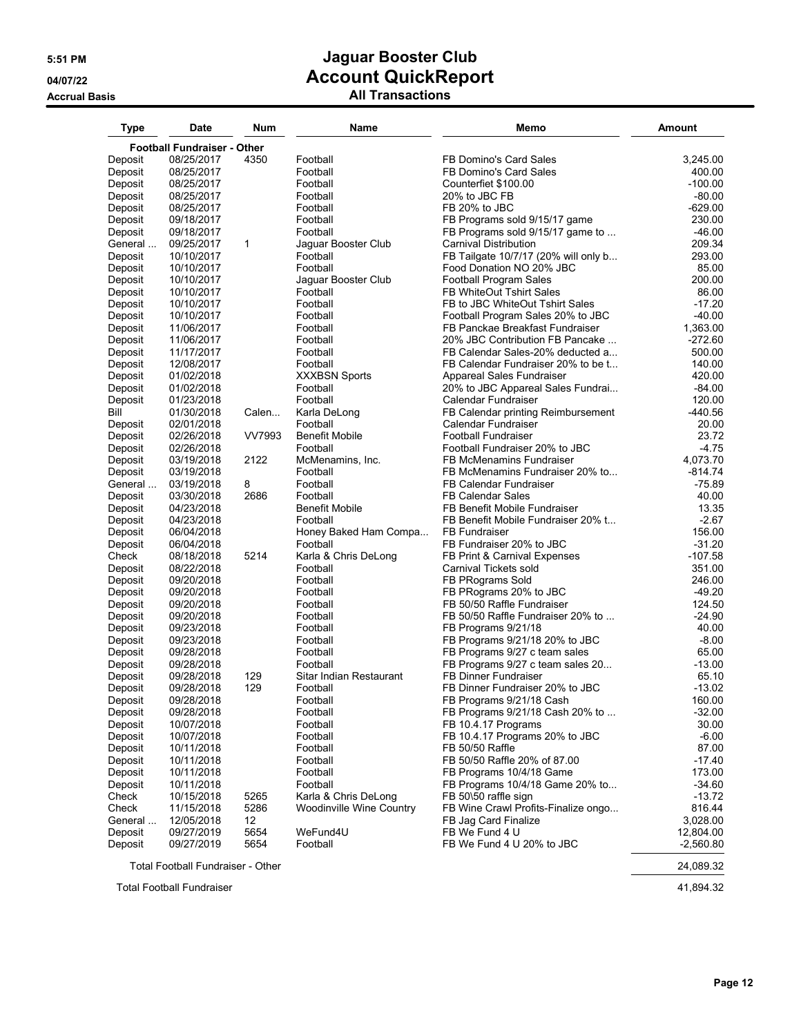**Accrual Basis All Transactions**

| <b>Type</b>        | <b>Date</b>                        | <b>Num</b> | Name                            | Memo                                                                 | <b>Amount</b>        |
|--------------------|------------------------------------|------------|---------------------------------|----------------------------------------------------------------------|----------------------|
|                    | <b>Football Fundraiser - Other</b> |            |                                 |                                                                      |                      |
| Deposit            | 08/25/2017                         | 4350       | Football                        | FB Domino's Card Sales                                               | 3,245.00             |
| Deposit            | 08/25/2017                         |            | Football                        | FB Domino's Card Sales                                               | 400.00               |
| Deposit            | 08/25/2017                         |            | Football                        | Counterfiet \$100.00                                                 | $-100.00$            |
| Deposit            | 08/25/2017                         |            | Football                        | 20% to JBC FB                                                        | $-80.00$             |
| Deposit            | 08/25/2017                         |            | Football                        | FB 20% to JBC                                                        | $-629.00$            |
| Deposit            | 09/18/2017                         |            | Football                        | FB Programs sold 9/15/17 game                                        | 230.00               |
| Deposit            | 09/18/2017                         |            | Football                        | FB Programs sold 9/15/17 game to                                     | $-46.00$             |
| General            | 09/25/2017                         | 1          | Jaguar Booster Club             | Carnival Distribution                                                | 209.34               |
| Deposit            | 10/10/2017                         |            | Football                        | FB Tailgate 10/7/17 (20% will only b                                 | 293.00               |
| Deposit            | 10/10/2017                         |            | Football                        | Food Donation NO 20% JBC                                             | 85.00                |
| Deposit            | 10/10/2017                         |            | Jaguar Booster Club             | <b>Football Program Sales</b>                                        | 200.00               |
| Deposit            | 10/10/2017                         |            | Football                        | <b>FB WhiteOut Tshirt Sales</b>                                      | 86.00                |
| Deposit            | 10/10/2017                         |            | Football                        | FB to JBC WhiteOut Tshirt Sales                                      | $-17.20$             |
| Deposit            | 10/10/2017<br>11/06/2017           |            | Football<br>Football            | Football Program Sales 20% to JBC<br>FB Panckae Breakfast Fundraiser | $-40.00$<br>1,363.00 |
| Deposit            | 11/06/2017                         |            | Football                        | 20% JBC Contribution FB Pancake                                      | $-272.60$            |
| Deposit<br>Deposit | 11/17/2017                         |            | Football                        | FB Calendar Sales-20% deducted a                                     | 500.00               |
| Deposit            | 12/08/2017                         |            | Football                        | FB Calendar Fundraiser 20% to be t                                   | 140.00               |
| Deposit            | 01/02/2018                         |            | <b>XXXBSN Sports</b>            | Appareal Sales Fundraiser                                            | 420.00               |
| Deposit            | 01/02/2018                         |            | Football                        | 20% to JBC Appareal Sales Fundrai                                    | $-84.00$             |
| Deposit            | 01/23/2018                         |            | Football                        | Calendar Fundraiser                                                  | 120.00               |
| Bill               | 01/30/2018                         | Calen      | Karla DeLong                    | FB Calendar printing Reimbursement                                   | -440.56              |
| Deposit            | 02/01/2018                         |            | Football                        | Calendar Fundraiser                                                  | 20.00                |
| Deposit            | 02/26/2018                         | VV7993     | <b>Benefit Mobile</b>           | <b>Football Fundraiser</b>                                           | 23.72                |
| Deposit            | 02/26/2018                         |            | Football                        | Football Fundraiser 20% to JBC                                       | $-4.75$              |
| Deposit            | 03/19/2018                         | 2122       | McMenamins, Inc.                | <b>FB McMenamins Fundraiser</b>                                      | 4,073.70             |
| Deposit            | 03/19/2018                         |            | Football                        | FB McMenamins Fundraiser 20% to                                      | $-814.74$            |
| General            | 03/19/2018                         | 8          | Football                        | FB Calendar Fundraiser                                               | $-75.89$             |
| Deposit            | 03/30/2018                         | 2686       | Football                        | <b>FB Calendar Sales</b>                                             | 40.00                |
| Deposit            | 04/23/2018                         |            | <b>Benefit Mobile</b>           | FB Benefit Mobile Fundraiser                                         | 13.35                |
| Deposit            | 04/23/2018                         |            | Football                        | FB Benefit Mobile Fundraiser 20% t                                   | $-2.67$              |
| Deposit            | 06/04/2018                         |            | Honey Baked Ham Compa           | FB Fundraiser                                                        | 156.00               |
| Deposit            | 06/04/2018                         |            | Football                        | FB Fundraiser 20% to JBC                                             | $-31.20$             |
| Check              | 08/18/2018                         | 5214       | Karla & Chris DeLong            | FB Print & Carnival Expenses                                         | -107.58              |
| Deposit            | 08/22/2018                         |            | Football                        | Carnival Tickets sold                                                | 351.00               |
| Deposit            | 09/20/2018                         |            | Football                        | FB PRograms Sold                                                     | 246.00               |
| Deposit            | 09/20/2018<br>09/20/2018           |            | Football<br>Football            | FB PRograms 20% to JBC<br>FB 50/50 Raffle Fundraiser                 | -49.20<br>124.50     |
| Deposit<br>Deposit | 09/20/2018                         |            | Football                        | FB 50/50 Raffle Fundraiser 20% to                                    | $-24.90$             |
| Deposit            | 09/23/2018                         |            | Football                        | FB Programs 9/21/18                                                  | 40.00                |
| Deposit            | 09/23/2018                         |            | Football                        | FB Programs 9/21/18 20% to JBC                                       | $-8.00$              |
| Deposit            | 09/28/2018                         |            | Football                        | FB Programs 9/27 c team sales                                        | 65.00                |
| Deposit            | 09/28/2018                         |            | Football                        | FB Programs 9/27 c team sales 20                                     | $-13.00$             |
| Deposit            | 09/28/2018                         | 129        | Sitar Indian Restaurant         | <b>FB Dinner Fundraiser</b>                                          | 65.10                |
| Deposit            | 09/28/2018                         | 129        | Football                        | FB Dinner Fundraiser 20% to JBC                                      | $-13.02$             |
| Deposit            | 09/28/2018                         |            | Football                        | FB Programs 9/21/18 Cash                                             | 160.00               |
| Deposit            | 09/28/2018                         |            | Football                        | FB Programs 9/21/18 Cash 20% to                                      | $-32.00$             |
| Deposit            | 10/07/2018                         |            | Football                        | FB 10.4.17 Programs                                                  | 30.00                |
| Deposit            | 10/07/2018                         |            | Football                        | FB 10.4.17 Programs 20% to JBC                                       | $-6.00$              |
| Deposit            | 10/11/2018                         |            | Football                        | FB 50/50 Raffle                                                      | 87.00                |
| Deposit            | 10/11/2018                         |            | Football                        | FB 50/50 Raffle 20% of 87.00                                         | $-17.40$             |
| Deposit            | 10/11/2018                         |            | Football                        | FB Programs 10/4/18 Game                                             | 173.00               |
| Deposit            | 10/11/2018                         |            | Football                        | FB Programs 10/4/18 Game 20% to                                      | $-34.60$             |
| Check              | 10/15/2018                         | 5265       | Karla & Chris DeLong            | FB 50\50 raffle sign                                                 | $-13.72$             |
| Check              | 11/15/2018                         | 5286       | <b>Woodinville Wine Country</b> | FB Wine Crawl Profits-Finalize ongo                                  | 816.44               |
| General            | 12/05/2018                         | 12         |                                 | FB Jag Card Finalize                                                 | 3,028.00             |
| Deposit            | 09/27/2019                         | 5654       | WeFund4U                        | FB We Fund 4 U                                                       | 12,804.00            |
| Deposit            | 09/27/2019                         | 5654       | Football                        | FB We Fund 4 U 20% to JBC                                            | $-2,560.80$          |
|                    | Total Football Fundraiser - Other  |            |                                 |                                                                      | 24,089.32            |

Total Football Fundraiser 41,894.32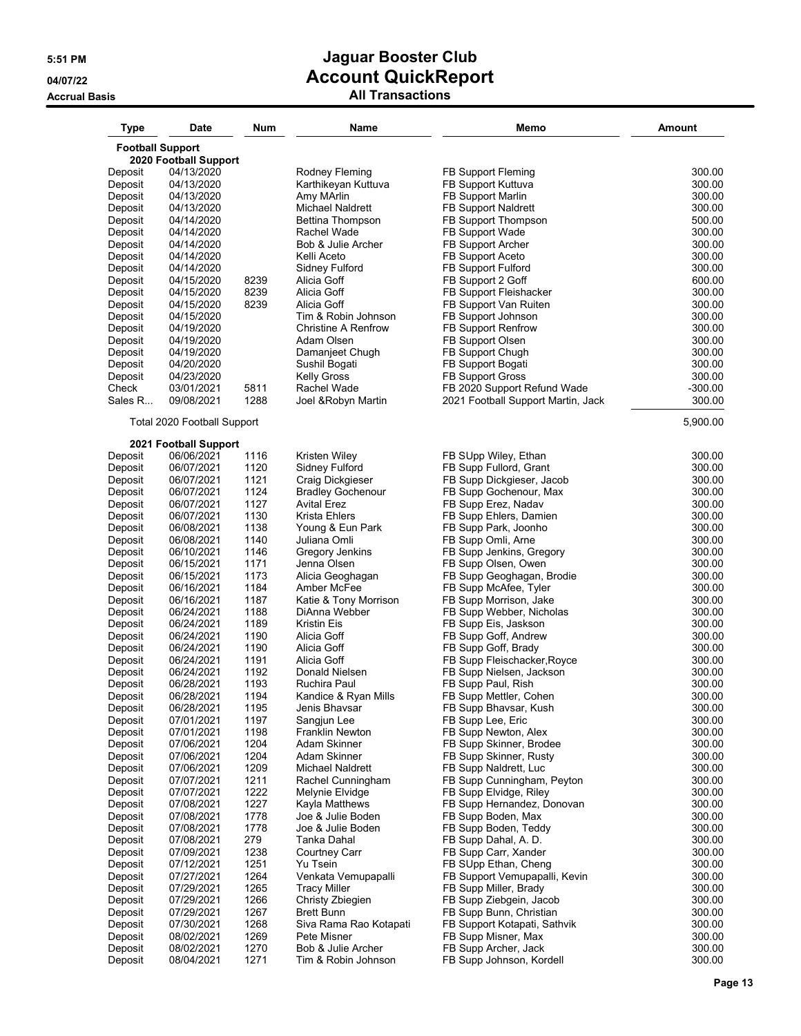| Type               | Date                                             | <b>Num</b>   | Name                           | Memo                                            | <b>Amount</b>    |
|--------------------|--------------------------------------------------|--------------|--------------------------------|-------------------------------------------------|------------------|
|                    | <b>Football Support</b><br>2020 Football Support |              |                                |                                                 |                  |
| Deposit            | 04/13/2020                                       |              | Rodney Fleming                 | FB Support Fleming                              | 300.00           |
| Deposit            | 04/13/2020                                       |              | Karthikeyan Kuttuva            | FB Support Kuttuva                              | 300.00           |
| Deposit            | 04/13/2020                                       |              | Amy MArlin                     | FB Support Marlin                               | 300.00           |
| Deposit            | 04/13/2020                                       |              | <b>Michael Naldrett</b>        | <b>FB Support Naldrett</b>                      | 300.00           |
| Deposit            | 04/14/2020                                       |              | Bettina Thompson               | FB Support Thompson                             | 500.00           |
| Deposit            | 04/14/2020                                       |              | Rachel Wade                    | FB Support Wade                                 | 300.00           |
| Deposit            | 04/14/2020                                       |              | Bob & Julie Archer             | <b>FB Support Archer</b>                        | 300.00           |
| Deposit            | 04/14/2020                                       |              | Kelli Aceto                    | FB Support Aceto                                | 300.00           |
| Deposit            | 04/14/2020                                       |              | Sidney Fulford                 | FB Support Fulford                              | 300.00           |
| Deposit            | 04/15/2020                                       | 8239         | Alicia Goff                    | FB Support 2 Goff                               | 600.00           |
| Deposit            | 04/15/2020                                       | 8239         | Alicia Goff                    | FB Support Fleishacker                          | 300.00           |
| Deposit            | 04/15/2020                                       | 8239         | Alicia Goff                    | FB Support Van Ruiten                           | 300.00           |
| Deposit            | 04/15/2020                                       |              | Tim & Robin Johnson            | FB Support Johnson                              | 300.00           |
| Deposit            | 04/19/2020                                       |              | <b>Christine A Renfrow</b>     | FB Support Renfrow                              | 300.00           |
| Deposit            | 04/19/2020                                       |              | Adam Olsen                     | FB Support Olsen                                | 300.00           |
| Deposit            | 04/19/2020                                       |              | Damanjeet Chugh                | FB Support Chugh                                | 300.00           |
| Deposit            | 04/20/2020                                       |              | Sushil Bogati                  | FB Support Bogati                               | 300.00           |
| Deposit            | 04/23/2020                                       |              | <b>Kelly Gross</b>             | <b>FB Support Gross</b>                         | 300.00           |
| Check              | 03/01/2021                                       | 5811         | Rachel Wade                    | FB 2020 Support Refund Wade                     | $-300.00$        |
| Sales R            | 09/08/2021                                       | 1288         | Joel & Robyn Martin            | 2021 Football Support Martin, Jack              | 300.00           |
|                    | Total 2020 Football Support                      |              |                                |                                                 | 5,900.00         |
|                    | 2021 Football Support                            |              |                                |                                                 |                  |
| Deposit            | 06/06/2021                                       | 1116         | Kristen Wiley                  | FB SUpp Wiley, Ethan                            | 300.00           |
| Deposit            | 06/07/2021                                       | 1120         | Sidney Fulford                 | FB Supp Fullord, Grant                          | 300.00           |
| Deposit            | 06/07/2021                                       | 1121         | <b>Craig Dickgieser</b>        | FB Supp Dickgieser, Jacob                       | 300.00           |
| Deposit            | 06/07/2021                                       | 1124         | <b>Bradley Gochenour</b>       | FB Supp Gochenour, Max                          | 300.00           |
| Deposit            | 06/07/2021                                       | 1127         | <b>Avital Erez</b>             | FB Supp Erez, Nadav                             | 300.00           |
| Deposit            | 06/07/2021                                       | 1130         | Krista Ehlers                  | FB Supp Ehlers, Damien                          | 300.00           |
| Deposit            | 06/08/2021                                       | 1138         | Young & Eun Park               | FB Supp Park, Joonho                            | 300.00           |
| Deposit            | 06/08/2021                                       | 1140<br>1146 | Juliana Omli                   | FB Supp Omli, Arne                              | 300.00           |
| Deposit<br>Deposit | 06/10/2021<br>06/15/2021                         | 1171         | Gregory Jenkins<br>Jenna Olsen | FB Supp Jenkins, Gregory<br>FB Supp Olsen, Owen | 300.00<br>300.00 |
| Deposit            | 06/15/2021                                       | 1173         | Alicia Geoghagan               | FB Supp Geoghagan, Brodie                       | 300.00           |
| Deposit            | 06/16/2021                                       | 1184         | Amber McFee                    | FB Supp McAfee, Tyler                           | 300.00           |
| Deposit            | 06/16/2021                                       | 1187         | Katie & Tony Morrison          | FB Supp Morrison, Jake                          | 300.00           |
| Deposit            | 06/24/2021                                       | 1188         | DiAnna Webber                  | FB Supp Webber, Nicholas                        | 300.00           |
| Deposit            | 06/24/2021                                       | 1189         | Kristin Eis                    | FB Supp Eis, Jaskson                            | 300.00           |
| Deposit            | 06/24/2021                                       | 1190         | Alicia Goff                    | FB Supp Goff, Andrew                            | 300.00           |
| Deposit            | 06/24/2021                                       | 1190         | Alicia Goff                    | FB Supp Goff, Brady                             | 300.00           |
| Deposit            | 06/24/2021                                       | 1191         | Alicia Goff                    | FB Supp Fleischacker, Royce                     | 300.00           |
| Deposit            | 06/24/2021                                       | 1192         | Donald Nielsen                 | FB Supp Nielsen, Jackson                        | 300.00           |
| Deposit            | 06/28/2021                                       | 1193         | Ruchira Paul                   | FB Supp Paul, Rish                              | 300.00           |
| Deposit            | 06/28/2021                                       | 1194         | Kandice & Ryan Mills           | FB Supp Mettler, Cohen                          | 300.00           |
| Deposit            | 06/28/2021                                       | 1195         | Jenis Bhavsar                  | FB Supp Bhavsar, Kush                           | 300.00           |
| Deposit            | 07/01/2021                                       | 1197         | Sangjun Lee                    | FB Supp Lee, Eric                               | 300.00           |
| Deposit            | 07/01/2021                                       | 1198         | Franklin Newton                | FB Supp Newton, Alex                            | 300.00           |
| Deposit            | 07/06/2021                                       | 1204         | Adam Skinner                   | FB Supp Skinner, Brodee                         | 300.00           |
| Deposit            | 07/06/2021                                       | 1204         | Adam Skinner                   | FB Supp Skinner, Rusty                          | 300.00           |
| Deposit            | 07/06/2021                                       | 1209         | Michael Naldrett               | FB Supp Naldrett, Luc                           | 300.00           |
| Deposit            | 07/07/2021                                       | 1211         | Rachel Cunningham              | FB Supp Cunningham, Peyton                      | 300.00           |
| Deposit            | 07/07/2021                                       | 1222         | Melynie Elvidge                | FB Supp Elvidge, Riley                          | 300.00           |
| Deposit            | 07/08/2021                                       | 1227         | Kayla Matthews                 | FB Supp Hernandez, Donovan                      | 300.00           |
| Deposit            | 07/08/2021                                       | 1778         | Joe & Julie Boden              | FB Supp Boden, Max                              | 300.00           |
| Deposit            | 07/08/2021                                       | 1778         | Joe & Julie Boden              | FB Supp Boden, Teddy                            | 300.00           |
| Deposit            | 07/08/2021                                       | 279          | Tanka Dahal                    | FB Supp Dahal, A. D.                            | 300.00           |
| Deposit            | 07/09/2021                                       | 1238         | Courtney Carr                  | FB Supp Carr, Xander                            | 300.00           |
| Deposit            | 07/12/2021                                       | 1251         | Yu Tsein                       | FB SUpp Ethan, Cheng                            | 300.00           |
| Deposit            | 07/27/2021                                       | 1264         | Venkata Vemupapalli            | FB Support Vemupapalli, Kevin                   | 300.00           |
| Deposit            | 07/29/2021                                       | 1265         | <b>Tracy Miller</b>            | FB Supp Miller, Brady                           | 300.00           |
| Deposit            | 07/29/2021                                       | 1266         | Christy Zbiegien               | FB Supp Ziebgein, Jacob                         | 300.00           |
| Deposit            | 07/29/2021                                       | 1267         | <b>Brett Bunn</b>              | FB Supp Bunn, Christian                         | 300.00           |
| Deposit            | 07/30/2021                                       | 1268         | Siva Rama Rao Kotapati         | FB Support Kotapati, Sathvik                    | 300.00           |
| Deposit            | 08/02/2021                                       | 1269         | Pete Misner                    | FB Supp Misner, Max                             | 300.00           |
| Deposit            | 08/02/2021                                       | 1270         | Bob & Julie Archer             | FB Supp Archer, Jack                            | 300.00           |
| Deposit            | 08/04/2021                                       | 1271         | Tim & Robin Johnson            | FB Supp Johnson, Kordell                        | 300.00           |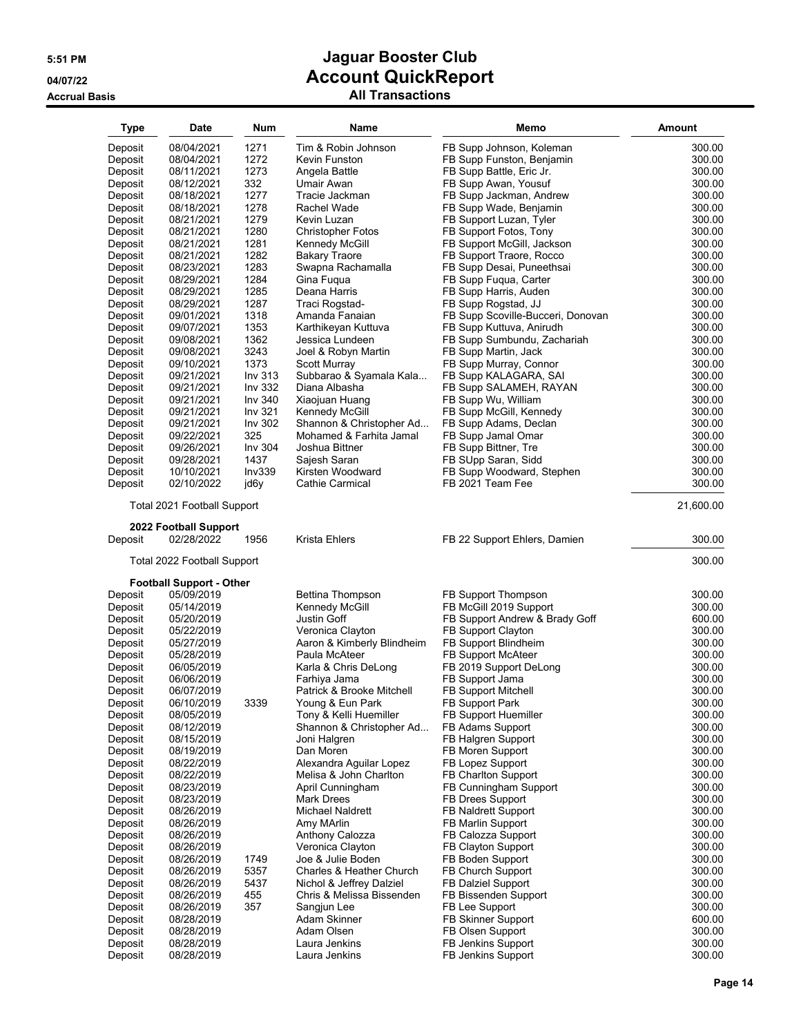| <b>Type</b> | Date                                          | Num                | Name                       | Memo                              | <b>Amount</b> |
|-------------|-----------------------------------------------|--------------------|----------------------------|-----------------------------------|---------------|
| Deposit     | 08/04/2021                                    | 1271               | Tim & Robin Johnson        | FB Supp Johnson, Koleman          | 300.00        |
| Deposit     | 08/04/2021                                    | 1272               | Kevin Funston              | FB Supp Funston, Benjamin         | 300.00        |
| Deposit     | 08/11/2021                                    | 1273               | Angela Battle              | FB Supp Battle, Eric Jr.          | 300.00        |
| Deposit     | 08/12/2021                                    | 332                | Umair Awan                 | FB Supp Awan, Yousuf              | 300.00        |
| Deposit     | 08/18/2021                                    | 1277               | Tracie Jackman             | FB Supp Jackman, Andrew           | 300.00        |
| Deposit     | 08/18/2021                                    | 1278               | Rachel Wade                | FB Supp Wade, Benjamin            | 300.00        |
| Deposit     | 08/21/2021                                    | 1279               | Kevin Luzan                | FB Support Luzan, Tyler           | 300.00        |
| Deposit     | 08/21/2021                                    | 1280               | <b>Christopher Fotos</b>   | FB Support Fotos, Tony            | 300.00        |
| Deposit     | 08/21/2021                                    | 1281               | Kennedy McGill             | FB Support McGill, Jackson        | 300.00        |
| Deposit     | 08/21/2021                                    | 1282               | <b>Bakary Traore</b>       | FB Support Traore, Rocco          | 300.00        |
| Deposit     | 08/23/2021                                    | 1283               | Swapna Rachamalla          | FB Supp Desai, Puneethsai         | 300.00        |
| Deposit     | 08/29/2021                                    | 1284               | Gina Fugua                 | FB Supp Fuqua, Carter             | 300.00        |
| Deposit     | 08/29/2021                                    | 1285               | Deana Harris               | FB Supp Harris, Auden             | 300.00        |
| Deposit     | 08/29/2021                                    | 1287               | Traci Rogstad-             | FB Supp Rogstad, JJ               | 300.00        |
| Deposit     | 09/01/2021                                    | 1318               | Amanda Fanaian             | FB Supp Scoville-Bucceri, Donovan | 300.00        |
| Deposit     | 09/07/2021                                    | 1353               | Karthikeyan Kuttuva        | FB Supp Kuttuva, Anirudh          | 300.00        |
| Deposit     | 09/08/2021                                    | 1362               | Jessica Lundeen            | FB Supp Sumbundu, Zachariah       | 300.00        |
| Deposit     | 09/08/2021                                    | 3243               | Joel & Robyn Martin        | FB Supp Martin, Jack              | 300.00        |
| Deposit     | 09/10/2021                                    | 1373               | <b>Scott Murray</b>        | FB Supp Murray, Connor            | 300.00        |
| Deposit     | 09/21/2021                                    | Inv 313            | Subbarao & Syamala Kala    | FB Supp KALAGARA, SAI             | 300.00        |
| Deposit     | 09/21/2021                                    | Inv 332            | Diana Albasha              | FB Supp SALAMEH, RAYAN            | 300.00        |
| Deposit     | 09/21/2021                                    | Inv 340            | Xiaojuan Huang             | FB Supp Wu, William               | 300.00        |
| Deposit     | 09/21/2021                                    | Inv <sub>321</sub> | Kennedy McGill             | FB Supp McGill, Kennedy           | 300.00        |
| Deposit     | 09/21/2021                                    | Inv 302            | Shannon & Christopher Ad   | FB Supp Adams, Declan             | 300.00        |
| Deposit     | 09/22/2021                                    | 325                | Mohamed & Farhita Jamal    | FB Supp Jamal Omar                | 300.00        |
| Deposit     | 09/26/2021                                    | Inv 304            | Joshua Bittner             | FB Supp Bittner, Tre              | 300.00        |
| Deposit     | 09/28/2021                                    | 1437               | Sajesh Saran               | FB SUpp Saran, Sidd               | 300.00        |
| Deposit     | 10/10/2021                                    | Inv339             | Kirsten Woodward           | FB Supp Woodward, Stephen         | 300.00        |
| Deposit     | 02/10/2022                                    | jd6y               | Cathie Carmical            | FB 2021 Team Fee                  | 300.00        |
|             | Total 2021 Football Support                   |                    |                            |                                   | 21,600.00     |
| Deposit     | 2022 Football Support<br>02/28/2022           | 1956               | Krista Ehlers              | FB 22 Support Ehlers, Damien      | 300.00        |
|             | Total 2022 Football Support                   |                    |                            |                                   | 300.00        |
|             |                                               |                    |                            |                                   |               |
| Deposit     | <b>Football Support - Other</b><br>05/09/2019 |                    | Bettina Thompson           | FB Support Thompson               | 300.00        |
| Deposit     | 05/14/2019                                    |                    | Kennedy McGill             | FB McGill 2019 Support            | 300.00        |
| Deposit     | 05/20/2019                                    |                    | Justin Goff                | FB Support Andrew & Brady Goff    | 600.00        |
| Deposit     | 05/22/2019                                    |                    | Veronica Clayton           | FB Support Clayton                | 300.00        |
| Deposit     | 05/27/2019                                    |                    | Aaron & Kimberly Blindheim | FB Support Blindheim              | 300.00        |
| Deposit     | 05/28/2019                                    |                    | Paula McAteer              | <b>FB Support McAteer</b>         | 300.00        |
| Deposit     | 06/05/2019                                    |                    | Karla & Chris DeLong       | FB 2019 Support DeLong            | 300.00        |
| Deposit     | 06/06/2019                                    |                    | Farhiya Jama               | FB Support Jama                   | 300.00        |
| Deposit     | 06/07/2019                                    |                    | Patrick & Brooke Mitchell  | FB Support Mitchell               | 300.00        |
| Deposit     | 06/10/2019                                    | 3339               | Young & Eun Park           | FB Support Park                   | 300.00        |
| Deposit     | 08/05/2019                                    |                    | Tony & Kelli Huemiller     | FB Support Huemiller              | 300.00        |
| Deposit     | 08/12/2019                                    |                    | Shannon & Christopher Ad   | FB Adams Support                  | 300.00        |
| Deposit     | 08/15/2019                                    |                    | Joni Halgren               | FB Halgren Support                | 300.00        |
| Deposit     | 08/19/2019                                    |                    | Dan Moren                  | FB Moren Support                  | 300.00        |
| Deposit     | 08/22/2019                                    |                    | Alexandra Aguilar Lopez    | FB Lopez Support                  | 300.00        |
| Deposit     | 08/22/2019                                    |                    | Melisa & John Charlton     | <b>FB Charlton Support</b>        | 300.00        |
| Deposit     | 08/23/2019                                    |                    | April Cunningham           | FB Cunningham Support             | 300.00        |
| Deposit     | 08/23/2019                                    |                    | <b>Mark Drees</b>          | FB Drees Support                  | 300.00        |
| Deposit     | 08/26/2019                                    |                    | Michael Naldrett           | FB Naldrett Support               | 300.00        |
| Deposit     | 08/26/2019                                    |                    | Amy MArlin                 | FB Marlin Support                 | 300.00        |
| Deposit     | 08/26/2019                                    |                    | Anthony Calozza            | FB Calozza Support                | 300.00        |
| Deposit     | 08/26/2019                                    |                    | Veronica Clayton           | FB Clayton Support                | 300.00        |
| Deposit     | 08/26/2019                                    | 1749               | Joe & Julie Boden          | FB Boden Support                  | 300.00        |
| Deposit     | 08/26/2019                                    | 5357               | Charles & Heather Church   | FB Church Support                 | 300.00        |
| Deposit     | 08/26/2019                                    | 5437               | Nichol & Jeffrey Dalziel   | FB Dalziel Support                | 300.00        |
| Deposit     | 08/26/2019                                    | 455                | Chris & Melissa Bissenden  | FB Bissenden Support              | 300.00        |
| Deposit     | 08/26/2019                                    | 357                | Sangjun Lee                | FB Lee Support                    | 300.00        |
| Deposit     | 08/28/2019                                    |                    | Adam Skinner               | FB Skinner Support                | 600.00        |
| Deposit     | 08/28/2019                                    |                    | Adam Olsen                 | FB Olsen Support                  | 300.00        |
| Deposit     | 08/28/2019                                    |                    | Laura Jenkins              | FB Jenkins Support                | 300.00        |
| Deposit     | 08/28/2019                                    |                    | Laura Jenkins              | FB Jenkins Support                | 300.00        |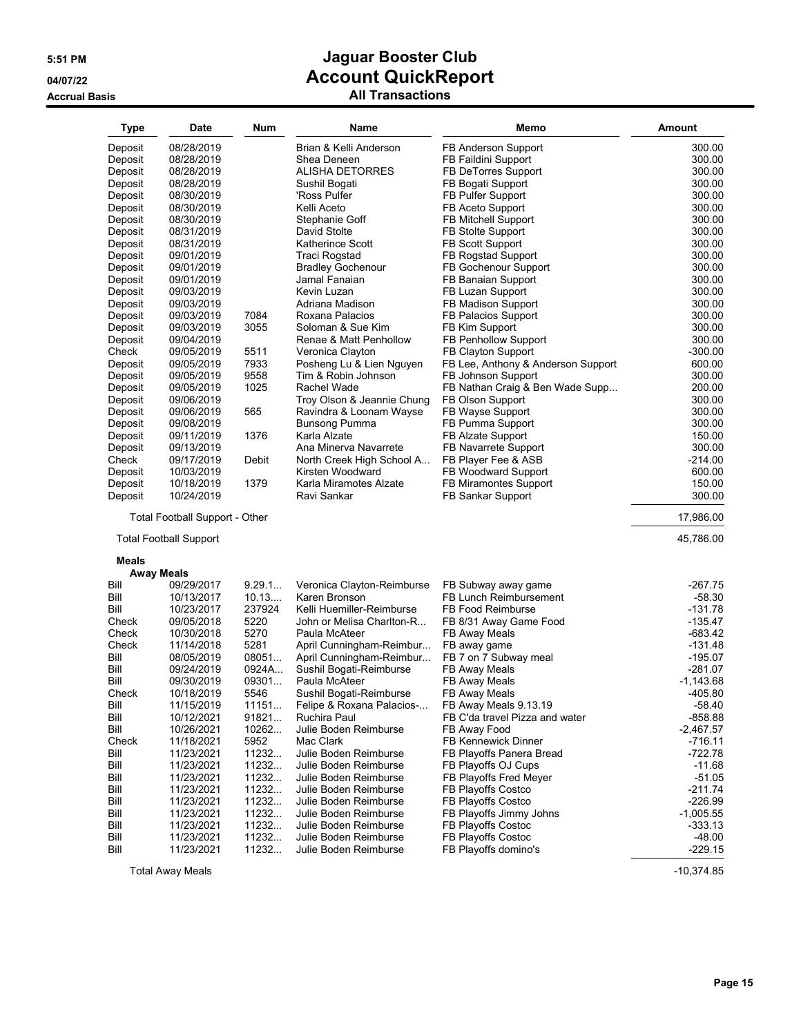#### **Accrual Basis All Transactions**

| <b>Type</b>    | Date                                  | Num          | Name                                                   | Memo                                  | <b>Amount</b>          |
|----------------|---------------------------------------|--------------|--------------------------------------------------------|---------------------------------------|------------------------|
| Deposit        | 08/28/2019                            |              | Brian & Kelli Anderson                                 | FB Anderson Support                   | 300.00                 |
| Deposit        | 08/28/2019                            |              | Shea Deneen                                            | FB Faildini Support                   | 300.00                 |
| Deposit        | 08/28/2019                            |              | ALISHA DETORRES                                        | FB DeTorres Support                   | 300.00                 |
| Deposit        | 08/28/2019                            |              | Sushil Bogati                                          | FB Bogati Support                     | 300.00                 |
| Deposit        | 08/30/2019                            |              | 'Ross Pulfer                                           | FB Pulfer Support                     | 300.00                 |
| Deposit        | 08/30/2019                            |              | Kelli Aceto                                            | FB Aceto Support                      | 300.00                 |
| Deposit        | 08/30/2019                            |              | Stephanie Goff                                         | FB Mitchell Support                   | 300.00                 |
| Deposit        | 08/31/2019                            |              | David Stolte                                           | FB Stolte Support                     | 300.00                 |
| Deposit        | 08/31/2019                            |              | Katherince Scott                                       | FB Scott Support                      | 300.00                 |
| Deposit        | 09/01/2019                            |              | Traci Rogstad                                          | FB Rogstad Support                    | 300.00                 |
| Deposit        | 09/01/2019                            |              | <b>Bradley Gochenour</b>                               | FB Gochenour Support                  | 300.00                 |
| Deposit        | 09/01/2019                            |              | Jamal Fanaian                                          | FB Banaian Support                    | 300.00                 |
| Deposit        | 09/03/2019                            |              | Kevin Luzan                                            | FB Luzan Support                      | 300.00                 |
| Deposit        | 09/03/2019                            |              | Adriana Madison                                        | FB Madison Support                    | 300.00                 |
| Deposit        | 09/03/2019                            | 7084         | Roxana Palacios                                        | FB Palacios Support                   | 300.00                 |
| Deposit        | 09/03/2019                            | 3055         | Soloman & Sue Kim                                      | FB Kim Support                        | 300.00                 |
| Deposit        | 09/04/2019                            |              | Renae & Matt Penhollow                                 | FB Penhollow Support                  | 300.00                 |
| Check          | 09/05/2019                            | 5511         | Veronica Clayton                                       | FB Clayton Support                    | $-300.00$              |
| Deposit        | 09/05/2019                            | 7933         | Posheng Lu & Lien Nguyen                               | FB Lee, Anthony & Anderson Support    | 600.00                 |
| Deposit        | 09/05/2019                            | 9558         | Tim & Robin Johnson                                    | FB Johnson Support                    | 300.00                 |
| Deposit        | 09/05/2019                            | 1025         | Rachel Wade                                            | FB Nathan Craig & Ben Wade Supp       | 200.00                 |
| Deposit        | 09/06/2019                            |              | Troy Olson & Jeannie Chung                             | FB Olson Support                      | 300.00                 |
| Deposit        | 09/06/2019                            | 565          | Ravindra & Loonam Wayse                                | FB Wayse Support                      | 300.00                 |
| Deposit        | 09/08/2019                            |              | <b>Bunsong Pumma</b>                                   | FB Pumma Support                      | 300.00                 |
| Deposit        | 09/11/2019                            | 1376         | Karla Alzate                                           | FB Alzate Support                     | 150.00                 |
| Deposit        | 09/13/2019                            |              | Ana Minerva Navarrete                                  | FB Navarrete Support                  | 300.00                 |
| Check          | 09/17/2019                            | Debit        | North Creek High School A                              | FB Player Fee & ASB                   | $-214.00$              |
| Deposit        | 10/03/2019                            |              | Kirsten Woodward                                       | FB Woodward Support                   | 600.00                 |
| Deposit        | 10/18/2019                            | 1379         | Karla Miramotes Alzate                                 | FB Miramontes Support                 | 150.00                 |
| Deposit        | 10/24/2019                            |              | Ravi Sankar                                            | FB Sankar Support                     | 300.00                 |
|                | <b>Total Football Support - Other</b> |              |                                                        |                                       | 17,986.00              |
|                | <b>Total Football Support</b>         |              |                                                        |                                       | 45,786.00              |
| Meals          |                                       |              |                                                        |                                       |                        |
|                | <b>Away Meals</b>                     |              |                                                        |                                       |                        |
| Bill           | 09/29/2017                            | 9.29.1       | Veronica Clayton-Reimburse                             | FB Subway away game                   | $-267.75$              |
| Bill           | 10/13/2017                            | 10.13        | Karen Bronson                                          | FB Lunch Reimbursement                | -58.30                 |
| Bill           | 10/23/2017                            | 237924       | Kelli Huemiller-Reimburse<br>John or Melisa Charlton-R | FB Food Reimburse                     | $-131.78$<br>$-135.47$ |
| Check          | 09/05/2018                            | 5220<br>5270 |                                                        | FB 8/31 Away Game Food                |                        |
| Check<br>Check | 10/30/2018                            | 5281         | Paula McAteer                                          | FB Away Meals                         | -683.42<br>$-131.48$   |
| Bill           | 11/14/2018                            | 08051        | April Cunningham-Reimbur<br>April Cunningham-Reimbur   | FB away game<br>FB 7 on 7 Subway meal |                        |
| Bill           | 08/05/2019<br>09/24/2019              | 0924A        | Sushil Bogati-Reimburse                                | FB Away Meals                         | $-195.07$<br>-281.07   |
| Bill           | 09/30/2019                            | 09301        | Paula McAteer                                          | FB Away Meals                         | $-1,143.68$            |
| Check          | 10/18/2019                            | 5546         | Sushil Bogati-Reimburse                                | FB Away Meals                         | -405.80                |
| Bill           | 11/15/2019                            | 11151        | Felipe & Roxana Palacios-                              | FB Away Meals 9.13.19                 | $-58.40$               |
| Bill           | 10/12/2021                            | 91821        | Ruchira Paul                                           | FB C'da travel Pizza and water        | $-858.88$              |
| Bill           | 10/26/2021                            | 10262        | Julie Boden Reimburse                                  | FB Away Food                          | $-2,467.57$            |
| Check          | 11/18/2021                            | 5952         | Mac Clark                                              | <b>FB Kennewick Dinner</b>            | -716.11                |
| Bill           | 11/23/2021                            | 11232        | Julie Boden Reimburse                                  | FB Playoffs Panera Bread              | -722.78                |
| Bill           | 11/23/2021                            | 11232        | Julie Boden Reimburse                                  | FB Playoffs OJ Cups                   | -11.68                 |
| Bill           | 11/23/2021                            | 11232        | Julie Boden Reimburse                                  | FB Playoffs Fred Meyer                | -51.05                 |
| Bill           | 11/23/2021                            | 11232        | Julie Boden Reimburse                                  | FB Playoffs Costco                    | -211.74                |
| Bill           | 11/23/2021                            | 11232        | Julie Boden Reimburse                                  | FB Playoffs Costco                    | $-226.99$              |
| Bill           | 11/23/2021                            | 11232        | Julie Boden Reimburse                                  | FB Playoffs Jimmy Johns               | $-1,005.55$            |
| Bill           | 11/23/2021                            | 11232        | Julie Boden Reimburse                                  | FB Playoffs Costoc                    | $-333.13$              |
| Bill           | 11/23/2021                            | 11232        | Julie Boden Reimburse                                  | FB Playoffs Costoc                    | $-48.00$               |
| Bill           | 11/23/2021                            | 11232        | Julie Boden Reimburse                                  | FB Playoffs domino's                  | $-229.15$              |
|                |                                       |              |                                                        |                                       |                        |

Total Away Meals -10,374.85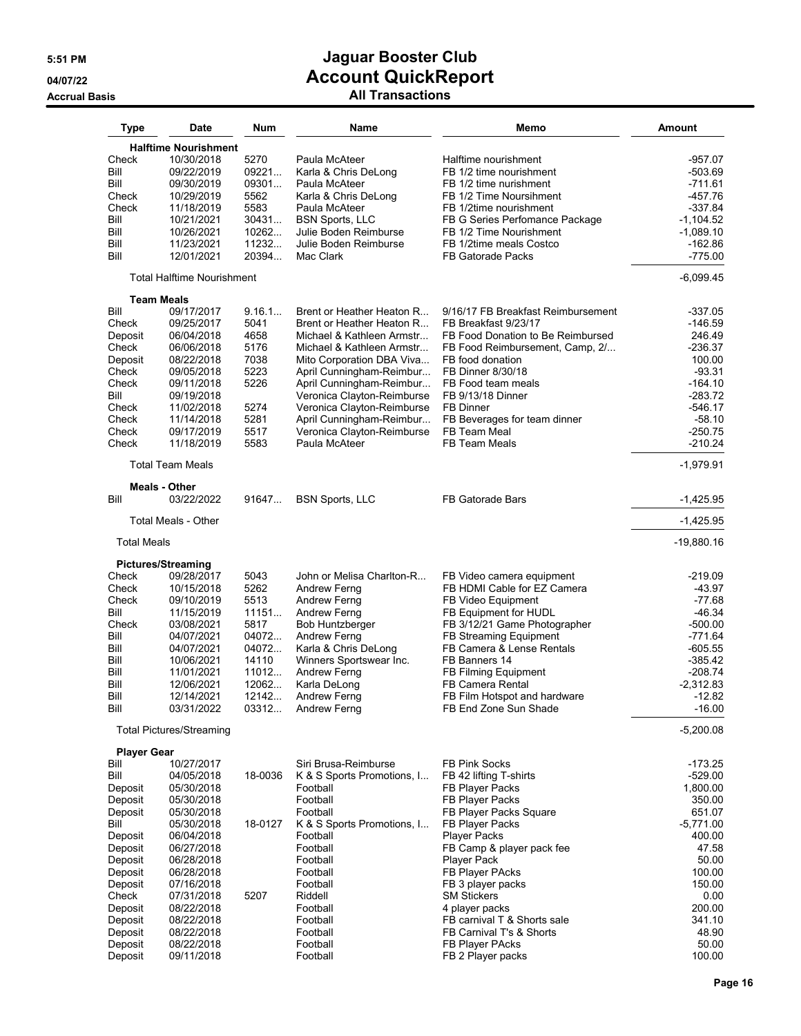| <b>Type</b>        | Date                               | Num     | Name                       | Memo                               | Amount       |
|--------------------|------------------------------------|---------|----------------------------|------------------------------------|--------------|
|                    | <b>Halftime Nourishment</b>        |         |                            |                                    |              |
| Check              | 10/30/2018                         | 5270    | Paula McAteer              | Halftime nourishment               | $-957.07$    |
| Bill               | 09/22/2019                         | 09221   | Karla & Chris DeLong       | FB 1/2 time nourishment            | -503.69      |
| Bill               | 09/30/2019                         | 09301   | Paula McAteer              | FB 1/2 time nurishment             | -711.61      |
| Check              | 10/29/2019                         | 5562    | Karla & Chris DeLong       | FB 1/2 Time Noursihment            | -457.76      |
| Check              | 11/18/2019                         | 5583    | Paula McAteer              | FB 1/2time nourishment             | $-337.84$    |
| Bill               | 10/21/2021                         | 30431   | <b>BSN Sports, LLC</b>     | FB G Series Perfomance Package     | $-1,104.52$  |
| Bill               | 10/26/2021                         | 10262   | Julie Boden Reimburse      | FB 1/2 Time Nourishment            | $-1,089.10$  |
| Bill               | 11/23/2021                         | 11232   | Julie Boden Reimburse      | FB 1/2time meals Costco            | $-162.86$    |
| Bill               | 12/01/2021                         | 20394   | Mac Clark                  | <b>FB Gatorade Packs</b>           | $-775.00$    |
|                    | <b>Total Halftime Nourishment</b>  |         |                            |                                    | $-6,099.45$  |
| <b>Team Meals</b>  |                                    |         |                            |                                    |              |
| Bill               | 09/17/2017                         | 9.16.1  | Brent or Heather Heaton R  | 9/16/17 FB Breakfast Reimbursement | -337.05      |
| Check              | 09/25/2017                         | 5041    | Brent or Heather Heaton R  | FB Breakfast 9/23/17               | -146.59      |
| Deposit            | 06/04/2018                         | 4658    | Michael & Kathleen Armstr  | FB Food Donation to Be Reimbursed  | 246.49       |
| Check              | 06/06/2018                         | 5176    | Michael & Kathleen Armstr  | FB Food Reimbursement, Camp, 2/    | -236.37      |
| Deposit            | 08/22/2018                         | 7038    | Mito Corporation DBA Viva  | FB food donation                   | 100.00       |
| Check              | 09/05/2018                         | 5223    | April Cunningham-Reimbur   | FB Dinner 8/30/18                  | $-93.31$     |
| Check              | 09/11/2018                         | 5226    | April Cunningham-Reimbur   | FB Food team meals                 | $-164.10$    |
| Bill               | 09/19/2018                         |         | Veronica Clayton-Reimburse | FB 9/13/18 Dinner                  | $-283.72$    |
| Check              | 11/02/2018                         | 5274    | Veronica Clayton-Reimburse | FB Dinner                          | $-546.17$    |
| Check              | 11/14/2018                         | 5281    | April Cunningham-Reimbur   | FB Beverages for team dinner       | $-58.10$     |
| Check              | 09/17/2019                         | 5517    | Veronica Clayton-Reimburse | FB Team Meal                       | $-250.75$    |
| Check              | 11/18/2019                         | 5583    | Paula McAteer              | <b>FB Team Meals</b>               | $-210.24$    |
|                    | <b>Total Team Meals</b>            |         |                            |                                    | $-1,979.91$  |
| Bill               | <b>Meals - Other</b><br>03/22/2022 | 91647   | <b>BSN Sports, LLC</b>     | <b>FB Gatorade Bars</b>            | $-1,425.95$  |
|                    | <b>Total Meals - Other</b>         |         |                            |                                    | $-1,425.95$  |
| <b>Total Meals</b> |                                    |         |                            |                                    | $-19,880.16$ |
|                    | <b>Pictures/Streaming</b>          |         |                            |                                    |              |
| Check              | 09/28/2017                         | 5043    | John or Melisa Charlton-R  | FB Video camera equipment          | -219.09      |
| Check              | 10/15/2018                         | 5262    | Andrew Ferng               | FB HDMI Cable for EZ Camera        | $-43.97$     |
| Check              | 09/10/2019                         | 5513    | Andrew Ferng               | FB Video Equipment                 | $-77.68$     |
| Bill               | 11/15/2019                         | 11151   | Andrew Ferng               | FB Equipment for HUDL              | $-46.34$     |
| Check              | 03/08/2021                         | 5817    | <b>Bob Huntzberger</b>     | FB 3/12/21 Game Photographer       | $-500.00$    |
| Bill               | 04/07/2021                         | 04072   | Andrew Ferng               | FB Streaming Equipment             | $-771.64$    |
| Bill               | 04/07/2021                         | 04072   | Karla & Chris DeLong       | FB Camera & Lense Rentals          | $-605.55$    |
| Bill               | 10/06/2021                         | 14110   | Winners Sportswear Inc.    | FB Banners 14                      | $-385.42$    |
| Bill               | 11/01/2021                         | 11012   | Andrew Ferng               | FB Filming Equipment               | $-208.74$    |
| Bill               | 12/06/2021                         | 12062   | Karla DeLong               | FB Camera Rental                   | $-2,312.83$  |
| Bill               | 12/14/2021                         | 12142   | Andrew Ferng               | FB Film Hotspot and hardware       | $-12.82$     |
| Bill               | 03/31/2022                         | 03312   | <b>Andrew Ferng</b>        | FB End Zone Sun Shade              | $-16.00$     |
|                    | <b>Total Pictures/Streaming</b>    |         |                            |                                    | $-5,200.08$  |
| <b>Player Gear</b> |                                    |         |                            |                                    |              |
| Bill               | 10/27/2017                         |         | Siri Brusa-Reimburse       | <b>FB Pink Socks</b>               | -173.25      |
| Bill               | 04/05/2018                         | 18-0036 | K & S Sports Promotions, I | FB 42 lifting T-shirts             | $-529.00$    |
| Deposit            | 05/30/2018                         |         | Football                   | FB Player Packs                    | 1,800.00     |
| Deposit            | 05/30/2018                         |         | Football                   | FB Player Packs                    | 350.00       |
| Deposit            | 05/30/2018                         |         | Football                   | FB Player Packs Square             | 651.07       |
| Bill               | 05/30/2018                         | 18-0127 | K & S Sports Promotions, I | FB Player Packs                    | $-5,771.00$  |
| Deposit            | 06/04/2018                         |         | Football                   | <b>Player Packs</b>                | 400.00       |
| Deposit            | 06/27/2018                         |         | Football                   | FB Camp & player pack fee          | 47.58        |
| Deposit            | 06/28/2018                         |         | Football                   | <b>Player Pack</b>                 | 50.00        |
| Deposit            | 06/28/2018                         |         | Football                   | FB Player PAcks                    | 100.00       |
| Deposit            | 07/16/2018                         |         | Football                   | FB 3 player packs                  | 150.00       |
| Check              | 07/31/2018                         | 5207    | Riddell                    | <b>SM Stickers</b>                 | 0.00         |
| Deposit            | 08/22/2018                         |         | Football                   | 4 player packs                     | 200.00       |
| Deposit            | 08/22/2018                         |         | Football                   | FB carnival T & Shorts sale        | 341.10       |
| Deposit            | 08/22/2018                         |         | Football                   | FB Carnival T's & Shorts           | 48.90        |
| Deposit            | 08/22/2018                         |         | Football                   | FB Player PAcks                    | 50.00        |
| Deposit            | 09/11/2018                         |         | Football                   | FB 2 Player packs                  | 100.00       |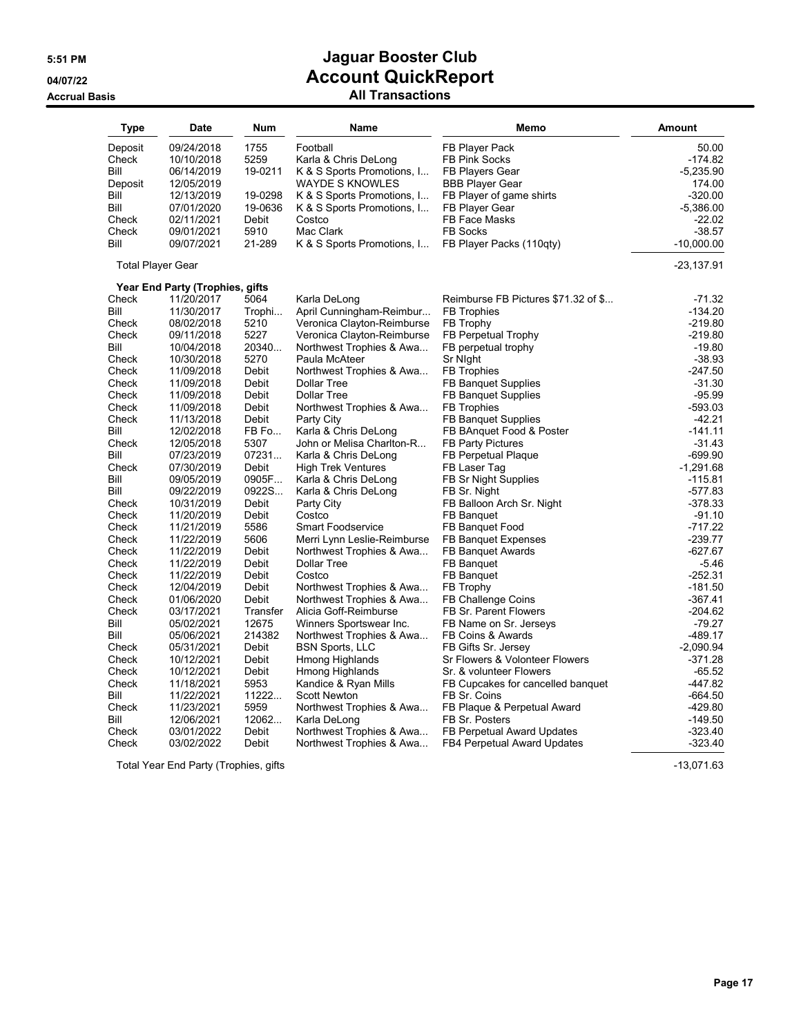#### **Accrual Basis All Transactions**

| Type                     | <b>Date</b>                     | <b>Num</b>   | Name                        | Memo                                | Amount       |
|--------------------------|---------------------------------|--------------|-----------------------------|-------------------------------------|--------------|
| Deposit                  | 09/24/2018                      | 1755         | Football                    | FB Player Pack                      | 50.00        |
| Check                    | 10/10/2018                      | 5259         | Karla & Chris DeLong        | <b>FB Pink Socks</b>                | $-174.82$    |
| Bill                     | 06/14/2019                      | 19-0211      | K & S Sports Promotions, I  | <b>FB Players Gear</b>              | -5,235.90    |
| Deposit                  | 12/05/2019                      |              | <b>WAYDE S KNOWLES</b>      | <b>BBB Player Gear</b>              | 174.00       |
| Bill                     | 12/13/2019                      | 19-0298      | K & S Sports Promotions, I  | FB Player of game shirts            | $-320.00$    |
| Bill                     | 07/01/2020                      | 19-0636      | K & S Sports Promotions, I  | FB Player Gear                      | $-5,386.00$  |
| Check                    | 02/11/2021                      | Debit        | Costco                      | FB Face Masks                       | -22.02       |
| Check                    | 09/01/2021                      | 5910         | Mac Clark                   | <b>FB Socks</b>                     | $-38.57$     |
| Bill                     | 09/07/2021                      | 21-289       | K & S Sports Promotions, I  | FB Player Packs (110qty)            | $-10,000.00$ |
| <b>Total Player Gear</b> |                                 |              |                             |                                     | $-23,137.91$ |
|                          | Year End Party (Trophies, gifts |              |                             |                                     |              |
| Check                    | 11/20/2017                      | 5064         | Karla DeLong                | Reimburse FB Pictures \$71.32 of \$ | $-71.32$     |
| Bill                     | 11/30/2017                      | Trophi       | April Cunningham-Reimbur    | <b>FB</b> Trophies                  | $-134.20$    |
| Check                    | 08/02/2018                      | 5210         | Veronica Clayton-Reimburse  | FB Trophy                           | $-219.80$    |
| Check                    | 09/11/2018                      | 5227         | Veronica Clayton-Reimburse  | FB Perpetual Trophy                 | $-219.80$    |
| Bill                     | 10/04/2018                      | 20340        | Northwest Trophies & Awa    | FB perpetual trophy                 | $-19.80$     |
| Check                    | 10/30/2018                      | 5270         | Paula McAteer               | Sr Night                            | $-38.93$     |
| Check                    | 11/09/2018                      | Debit        | Northwest Trophies & Awa    | <b>FB Trophies</b>                  | $-247.50$    |
| Check                    | 11/09/2018                      | Debit        | <b>Dollar Tree</b>          | <b>FB Banquet Supplies</b>          | $-31.30$     |
| Check                    | 11/09/2018                      | Debit        | <b>Dollar Tree</b>          | <b>FB Banquet Supplies</b>          | $-95.99$     |
| Check                    | 11/09/2018                      | Debit        | Northwest Trophies & Awa    | <b>FB</b> Trophies                  | -593.03      |
| Check                    | 11/13/2018                      | Debit        | Party City                  | <b>FB Banquet Supplies</b>          | -42.21       |
| Bill                     | 12/02/2018                      | FB Fo        | Karla & Chris DeLong        | FB BAnquet Food & Poster            | $-141.11$    |
| Check                    | 12/05/2018                      | 5307         | John or Melisa Charlton-R   | <b>FB Party Pictures</b>            | $-31.43$     |
| Bill                     | 07/23/2019                      | 07231        | Karla & Chris DeLong        | FB Perpetual Plaque                 | $-699.90$    |
| Check                    | 07/30/2019                      | Debit        | <b>High Trek Ventures</b>   | FB Laser Tag                        | $-1,291.68$  |
| Bill                     | 09/05/2019                      | 0905F        | Karla & Chris DeLong        | FB Sr Night Supplies                | $-115.81$    |
| Bill                     | 09/22/2019                      | 0922S        | Karla & Chris DeLong        | FB Sr. Night                        | $-577.83$    |
| Check                    | 10/31/2019                      | Debit        | Party City                  | FB Balloon Arch Sr. Night           | $-378.33$    |
| Check                    | 11/20/2019                      | Debit        | Costco                      | FB Banquet                          | $-91.10$     |
| Check                    | 11/21/2019                      | 5586         | <b>Smart Foodservice</b>    | FB Banquet Food                     | $-717.22$    |
| Check                    | 11/22/2019                      | 5606         | Merri Lynn Leslie-Reimburse | FB Banquet Expenses                 | $-239.77$    |
| Check                    | 11/22/2019                      | Debit        | Northwest Trophies & Awa    | FB Banguet Awards                   | $-627.67$    |
| Check                    | 11/22/2019                      | Debit        | Dollar Tree                 | FB Banquet                          | -5.46        |
| Check                    | 11/22/2019                      | Debit        | Costco                      | FB Banquet                          | $-252.31$    |
| Check                    | 12/04/2019                      | Debit        | Northwest Trophies & Awa    | FB Trophy                           | $-181.50$    |
| Check                    | 01/06/2020                      | <b>Debit</b> | Northwest Trophies & Awa    | FB Challenge Coins                  | $-367.41$    |
| Check                    | 03/17/2021                      | Transfer     | Alicia Goff-Reimburse       | FB Sr. Parent Flowers               | $-204.62$    |
| Bill                     | 05/02/2021                      | 12675        | Winners Sportswear Inc.     | FB Name on Sr. Jerseys              | $-79.27$     |
| Bill                     | 05/06/2021                      | 214382       | Northwest Trophies & Awa    | FB Coins & Awards                   | -489.17      |
| Check                    | 05/31/2021                      | Debit        | <b>BSN Sports, LLC</b>      | FB Gifts Sr. Jersey                 | $-2,090.94$  |
| Check                    | 10/12/2021                      | Debit        | Hmong Highlands             | Sr Flowers & Volonteer Flowers      | -371.28      |
| Check                    | 10/12/2021                      | Debit        | Hmong Highlands             | Sr. & volunteer Flowers             | $-65.52$     |
| Check                    | 11/18/2021                      | 5953         | Kandice & Ryan Mills        | FB Cupcakes for cancelled banquet   | -447.82      |
| Bill                     | 11/22/2021                      | 11222        | <b>Scott Newton</b>         | FB Sr. Coins                        | $-664.50$    |
| Check                    | 11/23/2021                      | 5959         | Northwest Trophies & Awa    | FB Plaque & Perpetual Award         | $-429.80$    |
| Bill                     | 12/06/2021                      | 12062        | Karla DeLong                | FB Sr. Posters                      | $-149.50$    |
| Check                    | 03/01/2022                      | Debit        | Northwest Trophies & Awa    | FB Perpetual Award Updates          | $-323.40$    |
| Check                    | 03/02/2022                      | Debit        | Northwest Trophies & Awa    | FB4 Perpetual Award Updates         | $-323.40$    |

Total Year End Party (Trophies, gifts -13,071.63